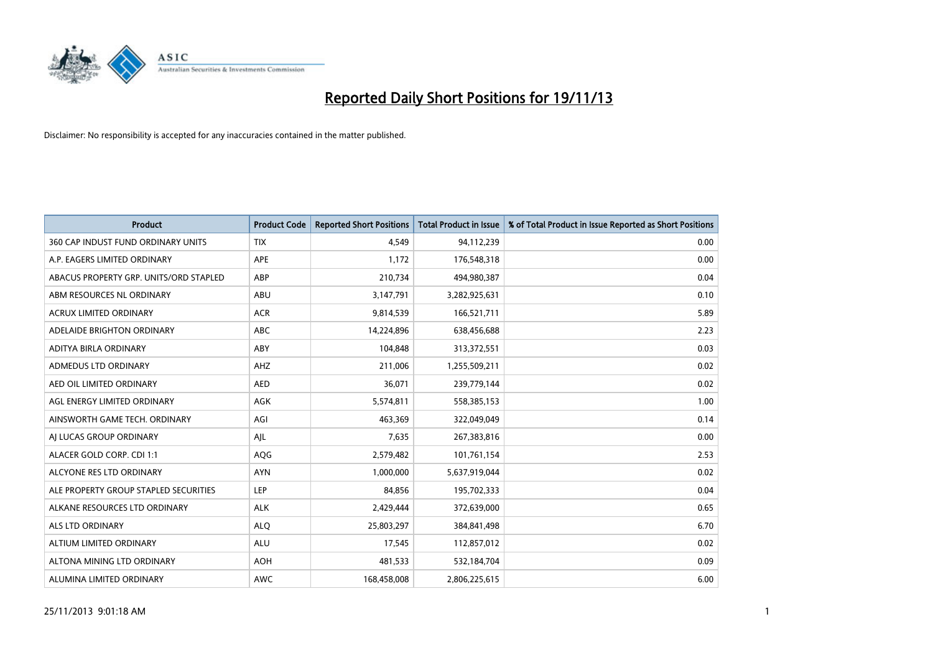

| <b>Product</b>                         | <b>Product Code</b> | <b>Reported Short Positions</b> | <b>Total Product in Issue</b> | % of Total Product in Issue Reported as Short Positions |
|----------------------------------------|---------------------|---------------------------------|-------------------------------|---------------------------------------------------------|
| 360 CAP INDUST FUND ORDINARY UNITS     | <b>TIX</b>          | 4,549                           | 94,112,239                    | 0.00                                                    |
| A.P. EAGERS LIMITED ORDINARY           | APE                 | 1,172                           | 176,548,318                   | 0.00                                                    |
| ABACUS PROPERTY GRP. UNITS/ORD STAPLED | ABP                 | 210,734                         | 494,980,387                   | 0.04                                                    |
| ABM RESOURCES NL ORDINARY              | ABU                 | 3,147,791                       | 3,282,925,631                 | 0.10                                                    |
| <b>ACRUX LIMITED ORDINARY</b>          | <b>ACR</b>          | 9,814,539                       | 166,521,711                   | 5.89                                                    |
| ADELAIDE BRIGHTON ORDINARY             | <b>ABC</b>          | 14,224,896                      | 638,456,688                   | 2.23                                                    |
| ADITYA BIRLA ORDINARY                  | ABY                 | 104,848                         | 313,372,551                   | 0.03                                                    |
| ADMEDUS LTD ORDINARY                   | AHZ                 | 211,006                         | 1,255,509,211                 | 0.02                                                    |
| AED OIL LIMITED ORDINARY               | <b>AED</b>          | 36,071                          | 239,779,144                   | 0.02                                                    |
| AGL ENERGY LIMITED ORDINARY            | <b>AGK</b>          | 5,574,811                       | 558,385,153                   | 1.00                                                    |
| AINSWORTH GAME TECH. ORDINARY          | AGI                 | 463,369                         | 322,049,049                   | 0.14                                                    |
| AI LUCAS GROUP ORDINARY                | AJL                 | 7,635                           | 267,383,816                   | 0.00                                                    |
| ALACER GOLD CORP. CDI 1:1              | AQG                 | 2,579,482                       | 101,761,154                   | 2.53                                                    |
| ALCYONE RES LTD ORDINARY               | <b>AYN</b>          | 1,000,000                       | 5,637,919,044                 | 0.02                                                    |
| ALE PROPERTY GROUP STAPLED SECURITIES  | LEP                 | 84,856                          | 195,702,333                   | 0.04                                                    |
| ALKANE RESOURCES LTD ORDINARY          | <b>ALK</b>          | 2,429,444                       | 372,639,000                   | 0.65                                                    |
| ALS LTD ORDINARY                       | <b>ALQ</b>          | 25,803,297                      | 384,841,498                   | 6.70                                                    |
| ALTIUM LIMITED ORDINARY                | ALU                 | 17,545                          | 112,857,012                   | 0.02                                                    |
| ALTONA MINING LTD ORDINARY             | <b>AOH</b>          | 481,533                         | 532,184,704                   | 0.09                                                    |
| ALUMINA LIMITED ORDINARY               | <b>AWC</b>          | 168,458,008                     | 2,806,225,615                 | 6.00                                                    |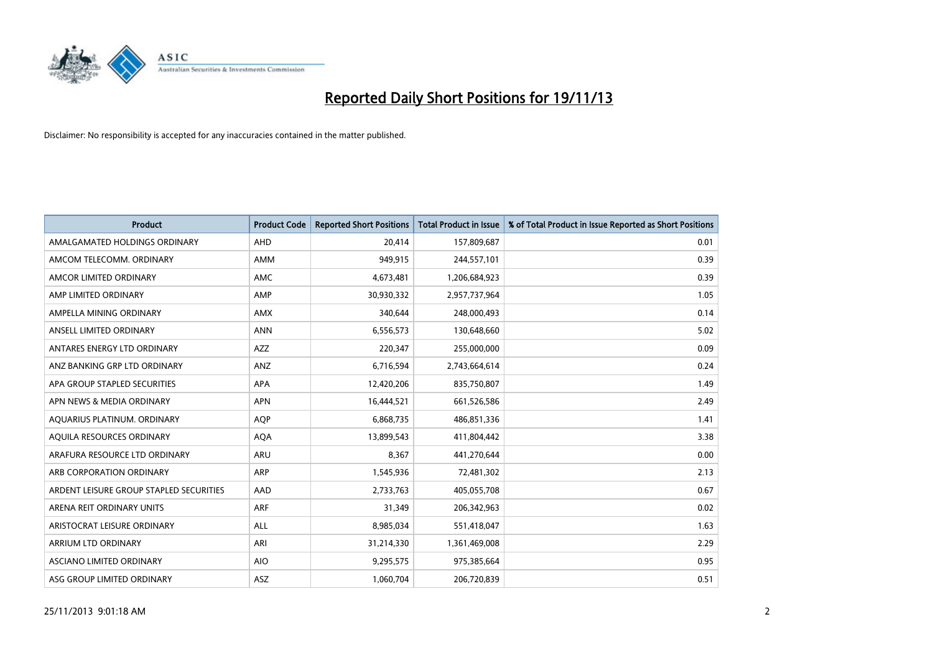

| <b>Product</b>                          | <b>Product Code</b> | <b>Reported Short Positions</b> | <b>Total Product in Issue</b> | % of Total Product in Issue Reported as Short Positions |
|-----------------------------------------|---------------------|---------------------------------|-------------------------------|---------------------------------------------------------|
| AMALGAMATED HOLDINGS ORDINARY           | AHD                 | 20,414                          | 157,809,687                   | 0.01                                                    |
| AMCOM TELECOMM. ORDINARY                | AMM                 | 949,915                         | 244,557,101                   | 0.39                                                    |
| AMCOR LIMITED ORDINARY                  | <b>AMC</b>          | 4,673,481                       | 1,206,684,923                 | 0.39                                                    |
| AMP LIMITED ORDINARY                    | AMP                 | 30,930,332                      | 2,957,737,964                 | 1.05                                                    |
| AMPELLA MINING ORDINARY                 | <b>AMX</b>          | 340,644                         | 248,000,493                   | 0.14                                                    |
| ANSELL LIMITED ORDINARY                 | <b>ANN</b>          | 6,556,573                       | 130,648,660                   | 5.02                                                    |
| ANTARES ENERGY LTD ORDINARY             | AZZ                 | 220,347                         | 255,000,000                   | 0.09                                                    |
| ANZ BANKING GRP LTD ORDINARY            | ANZ                 | 6,716,594                       | 2,743,664,614                 | 0.24                                                    |
| APA GROUP STAPLED SECURITIES            | <b>APA</b>          | 12,420,206                      | 835,750,807                   | 1.49                                                    |
| APN NEWS & MEDIA ORDINARY               | <b>APN</b>          | 16,444,521                      | 661,526,586                   | 2.49                                                    |
| AQUARIUS PLATINUM. ORDINARY             | <b>AOP</b>          | 6,868,735                       | 486,851,336                   | 1.41                                                    |
| AQUILA RESOURCES ORDINARY               | <b>AQA</b>          | 13,899,543                      | 411,804,442                   | 3.38                                                    |
| ARAFURA RESOURCE LTD ORDINARY           | ARU                 | 8,367                           | 441,270,644                   | 0.00                                                    |
| ARB CORPORATION ORDINARY                | ARP                 | 1,545,936                       | 72,481,302                    | 2.13                                                    |
| ARDENT LEISURE GROUP STAPLED SECURITIES | AAD                 | 2,733,763                       | 405,055,708                   | 0.67                                                    |
| ARENA REIT ORDINARY UNITS               | ARF                 | 31,349                          | 206,342,963                   | 0.02                                                    |
| ARISTOCRAT LEISURE ORDINARY             | ALL                 | 8,985,034                       | 551,418,047                   | 1.63                                                    |
| ARRIUM LTD ORDINARY                     | ARI                 | 31,214,330                      | 1,361,469,008                 | 2.29                                                    |
| ASCIANO LIMITED ORDINARY                | <b>AIO</b>          | 9,295,575                       | 975,385,664                   | 0.95                                                    |
| ASG GROUP LIMITED ORDINARY              | ASZ                 | 1,060,704                       | 206,720,839                   | 0.51                                                    |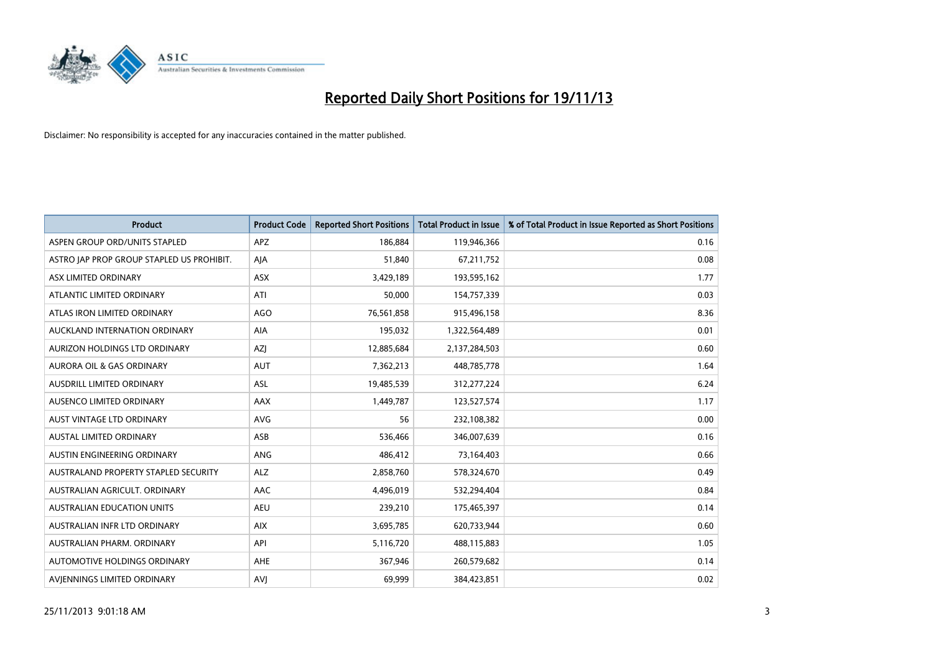

| <b>Product</b>                            | <b>Product Code</b> | <b>Reported Short Positions</b> | <b>Total Product in Issue</b> | % of Total Product in Issue Reported as Short Positions |
|-------------------------------------------|---------------------|---------------------------------|-------------------------------|---------------------------------------------------------|
| ASPEN GROUP ORD/UNITS STAPLED             | <b>APZ</b>          | 186,884                         | 119,946,366                   | 0.16                                                    |
| ASTRO JAP PROP GROUP STAPLED US PROHIBIT. | AJA                 | 51,840                          | 67,211,752                    | 0.08                                                    |
| ASX LIMITED ORDINARY                      | ASX                 | 3,429,189                       | 193,595,162                   | 1.77                                                    |
| ATLANTIC LIMITED ORDINARY                 | ATI                 | 50,000                          | 154,757,339                   | 0.03                                                    |
| ATLAS IRON LIMITED ORDINARY               | AGO                 | 76,561,858                      | 915,496,158                   | 8.36                                                    |
| AUCKLAND INTERNATION ORDINARY             | AIA                 | 195,032                         | 1,322,564,489                 | 0.01                                                    |
| AURIZON HOLDINGS LTD ORDINARY             | AZJ                 | 12,885,684                      | 2,137,284,503                 | 0.60                                                    |
| AURORA OIL & GAS ORDINARY                 | <b>AUT</b>          | 7,362,213                       | 448,785,778                   | 1.64                                                    |
| AUSDRILL LIMITED ORDINARY                 | <b>ASL</b>          | 19,485,539                      | 312,277,224                   | 6.24                                                    |
| AUSENCO LIMITED ORDINARY                  | AAX                 | 1,449,787                       | 123,527,574                   | 1.17                                                    |
| AUST VINTAGE LTD ORDINARY                 | <b>AVG</b>          | 56                              | 232,108,382                   | 0.00                                                    |
| AUSTAL LIMITED ORDINARY                   | ASB                 | 536,466                         | 346,007,639                   | 0.16                                                    |
| AUSTIN ENGINEERING ORDINARY               | ANG                 | 486,412                         | 73,164,403                    | 0.66                                                    |
| AUSTRALAND PROPERTY STAPLED SECURITY      | <b>ALZ</b>          | 2,858,760                       | 578,324,670                   | 0.49                                                    |
| AUSTRALIAN AGRICULT, ORDINARY             | AAC                 | 4,496,019                       | 532,294,404                   | 0.84                                                    |
| AUSTRALIAN EDUCATION UNITS                | <b>AEU</b>          | 239,210                         | 175,465,397                   | 0.14                                                    |
| AUSTRALIAN INFR LTD ORDINARY              | <b>AIX</b>          | 3,695,785                       | 620,733,944                   | 0.60                                                    |
| AUSTRALIAN PHARM, ORDINARY                | API                 | 5,116,720                       | 488,115,883                   | 1.05                                                    |
| AUTOMOTIVE HOLDINGS ORDINARY              | AHE                 | 367,946                         | 260,579,682                   | 0.14                                                    |
| AVJENNINGS LIMITED ORDINARY               | <b>AVJ</b>          | 69,999                          | 384,423,851                   | 0.02                                                    |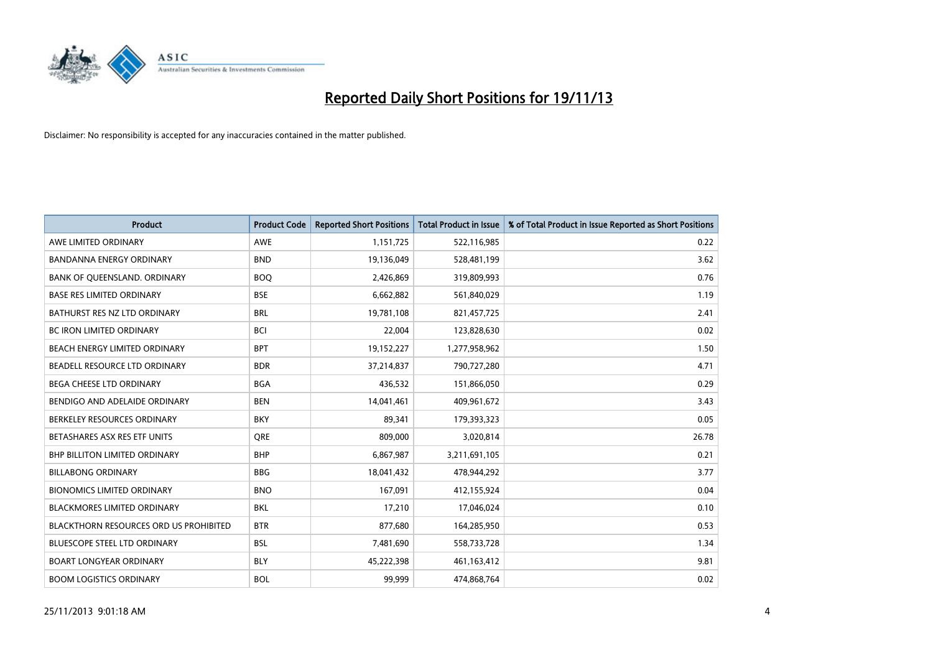

| <b>Product</b>                                | <b>Product Code</b> | <b>Reported Short Positions</b> | <b>Total Product in Issue</b> | % of Total Product in Issue Reported as Short Positions |
|-----------------------------------------------|---------------------|---------------------------------|-------------------------------|---------------------------------------------------------|
| AWE LIMITED ORDINARY                          | AWE                 | 1,151,725                       | 522,116,985                   | 0.22                                                    |
| <b>BANDANNA ENERGY ORDINARY</b>               | <b>BND</b>          | 19,136,049                      | 528,481,199                   | 3.62                                                    |
| BANK OF QUEENSLAND. ORDINARY                  | <b>BOQ</b>          | 2,426,869                       | 319,809,993                   | 0.76                                                    |
| <b>BASE RES LIMITED ORDINARY</b>              | <b>BSE</b>          | 6,662,882                       | 561,840,029                   | 1.19                                                    |
| BATHURST RES NZ LTD ORDINARY                  | <b>BRL</b>          | 19,781,108                      | 821,457,725                   | 2.41                                                    |
| <b>BC IRON LIMITED ORDINARY</b>               | <b>BCI</b>          | 22,004                          | 123,828,630                   | 0.02                                                    |
| BEACH ENERGY LIMITED ORDINARY                 | <b>BPT</b>          | 19,152,227                      | 1,277,958,962                 | 1.50                                                    |
| BEADELL RESOURCE LTD ORDINARY                 | <b>BDR</b>          | 37,214,837                      | 790,727,280                   | 4.71                                                    |
| <b>BEGA CHEESE LTD ORDINARY</b>               | <b>BGA</b>          | 436,532                         | 151,866,050                   | 0.29                                                    |
| BENDIGO AND ADELAIDE ORDINARY                 | <b>BEN</b>          | 14,041,461                      | 409,961,672                   | 3.43                                                    |
| BERKELEY RESOURCES ORDINARY                   | <b>BKY</b>          | 89,341                          | 179,393,323                   | 0.05                                                    |
| BETASHARES ASX RES ETF UNITS                  | <b>ORE</b>          | 809,000                         | 3,020,814                     | 26.78                                                   |
| <b>BHP BILLITON LIMITED ORDINARY</b>          | <b>BHP</b>          | 6,867,987                       | 3,211,691,105                 | 0.21                                                    |
| <b>BILLABONG ORDINARY</b>                     | <b>BBG</b>          | 18,041,432                      | 478,944,292                   | 3.77                                                    |
| <b>BIONOMICS LIMITED ORDINARY</b>             | <b>BNO</b>          | 167,091                         | 412,155,924                   | 0.04                                                    |
| <b>BLACKMORES LIMITED ORDINARY</b>            | <b>BKL</b>          | 17,210                          | 17,046,024                    | 0.10                                                    |
| <b>BLACKTHORN RESOURCES ORD US PROHIBITED</b> | <b>BTR</b>          | 877,680                         | 164,285,950                   | 0.53                                                    |
| BLUESCOPE STEEL LTD ORDINARY                  | <b>BSL</b>          | 7,481,690                       | 558,733,728                   | 1.34                                                    |
| <b>BOART LONGYEAR ORDINARY</b>                | <b>BLY</b>          | 45,222,398                      | 461,163,412                   | 9.81                                                    |
| <b>BOOM LOGISTICS ORDINARY</b>                | <b>BOL</b>          | 99.999                          | 474,868,764                   | 0.02                                                    |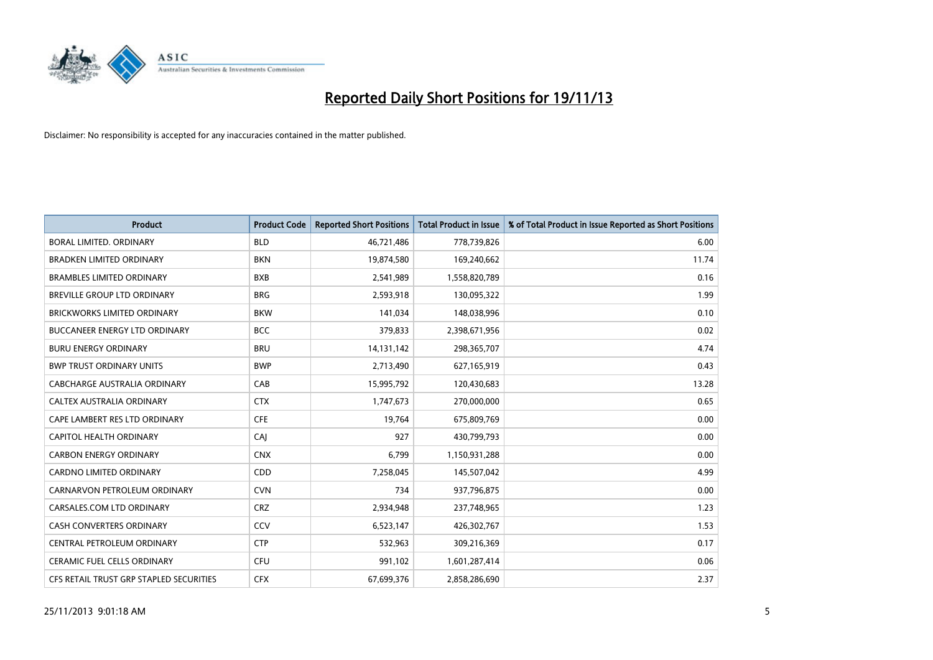

| <b>Product</b>                          | <b>Product Code</b> | <b>Reported Short Positions</b> | <b>Total Product in Issue</b> | % of Total Product in Issue Reported as Short Positions |
|-----------------------------------------|---------------------|---------------------------------|-------------------------------|---------------------------------------------------------|
| <b>BORAL LIMITED, ORDINARY</b>          | <b>BLD</b>          | 46,721,486                      | 778,739,826                   | 6.00                                                    |
| <b>BRADKEN LIMITED ORDINARY</b>         | <b>BKN</b>          | 19,874,580                      | 169,240,662                   | 11.74                                                   |
| <b>BRAMBLES LIMITED ORDINARY</b>        | <b>BXB</b>          | 2,541,989                       | 1,558,820,789                 | 0.16                                                    |
| BREVILLE GROUP LTD ORDINARY             | <b>BRG</b>          | 2,593,918                       | 130,095,322                   | 1.99                                                    |
| <b>BRICKWORKS LIMITED ORDINARY</b>      | <b>BKW</b>          | 141,034                         | 148,038,996                   | 0.10                                                    |
| <b>BUCCANEER ENERGY LTD ORDINARY</b>    | <b>BCC</b>          | 379,833                         | 2,398,671,956                 | 0.02                                                    |
| <b>BURU ENERGY ORDINARY</b>             | <b>BRU</b>          | 14,131,142                      | 298,365,707                   | 4.74                                                    |
| <b>BWP TRUST ORDINARY UNITS</b>         | <b>BWP</b>          | 2,713,490                       | 627,165,919                   | 0.43                                                    |
| <b>CABCHARGE AUSTRALIA ORDINARY</b>     | CAB                 | 15,995,792                      | 120,430,683                   | 13.28                                                   |
| CALTEX AUSTRALIA ORDINARY               | <b>CTX</b>          | 1,747,673                       | 270,000,000                   | 0.65                                                    |
| CAPE LAMBERT RES LTD ORDINARY           | <b>CFE</b>          | 19,764                          | 675,809,769                   | 0.00                                                    |
| CAPITOL HEALTH ORDINARY                 | CAJ                 | 927                             | 430,799,793                   | 0.00                                                    |
| <b>CARBON ENERGY ORDINARY</b>           | <b>CNX</b>          | 6,799                           | 1,150,931,288                 | 0.00                                                    |
| <b>CARDNO LIMITED ORDINARY</b>          | CDD                 | 7,258,045                       | 145,507,042                   | 4.99                                                    |
| CARNARVON PETROLEUM ORDINARY            | <b>CVN</b>          | 734                             | 937,796,875                   | 0.00                                                    |
| CARSALES.COM LTD ORDINARY               | <b>CRZ</b>          | 2,934,948                       | 237,748,965                   | 1.23                                                    |
| <b>CASH CONVERTERS ORDINARY</b>         | CCV                 | 6,523,147                       | 426,302,767                   | 1.53                                                    |
| CENTRAL PETROLEUM ORDINARY              | <b>CTP</b>          | 532,963                         | 309,216,369                   | 0.17                                                    |
| <b>CERAMIC FUEL CELLS ORDINARY</b>      | <b>CFU</b>          | 991,102                         | 1,601,287,414                 | 0.06                                                    |
| CFS RETAIL TRUST GRP STAPLED SECURITIES | <b>CFX</b>          | 67,699,376                      | 2,858,286,690                 | 2.37                                                    |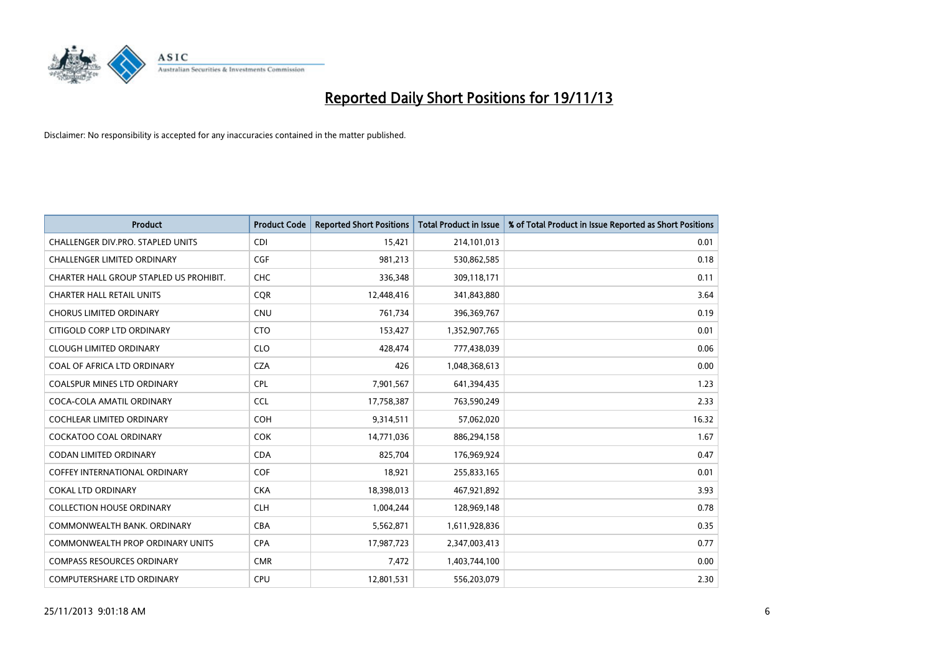

| <b>Product</b>                          | <b>Product Code</b> | <b>Reported Short Positions</b> | <b>Total Product in Issue</b> | % of Total Product in Issue Reported as Short Positions |
|-----------------------------------------|---------------------|---------------------------------|-------------------------------|---------------------------------------------------------|
| CHALLENGER DIV.PRO. STAPLED UNITS       | <b>CDI</b>          | 15,421                          | 214,101,013                   | 0.01                                                    |
| CHALLENGER LIMITED ORDINARY             | <b>CGF</b>          | 981,213                         | 530,862,585                   | 0.18                                                    |
| CHARTER HALL GROUP STAPLED US PROHIBIT. | <b>CHC</b>          | 336,348                         | 309,118,171                   | 0.11                                                    |
| <b>CHARTER HALL RETAIL UNITS</b>        | <b>COR</b>          | 12,448,416                      | 341,843,880                   | 3.64                                                    |
| <b>CHORUS LIMITED ORDINARY</b>          | <b>CNU</b>          | 761,734                         | 396,369,767                   | 0.19                                                    |
| CITIGOLD CORP LTD ORDINARY              | <b>CTO</b>          | 153,427                         | 1,352,907,765                 | 0.01                                                    |
| <b>CLOUGH LIMITED ORDINARY</b>          | <b>CLO</b>          | 428,474                         | 777,438,039                   | 0.06                                                    |
| COAL OF AFRICA LTD ORDINARY             | <b>CZA</b>          | 426                             | 1,048,368,613                 | 0.00                                                    |
| <b>COALSPUR MINES LTD ORDINARY</b>      | <b>CPL</b>          | 7,901,567                       | 641,394,435                   | 1.23                                                    |
| COCA-COLA AMATIL ORDINARY               | <b>CCL</b>          | 17,758,387                      | 763,590,249                   | 2.33                                                    |
| COCHLEAR LIMITED ORDINARY               | <b>COH</b>          | 9,314,511                       | 57,062,020                    | 16.32                                                   |
| COCKATOO COAL ORDINARY                  | COK                 | 14,771,036                      | 886,294,158                   | 1.67                                                    |
| <b>CODAN LIMITED ORDINARY</b>           | <b>CDA</b>          | 825,704                         | 176,969,924                   | 0.47                                                    |
| <b>COFFEY INTERNATIONAL ORDINARY</b>    | <b>COF</b>          | 18,921                          | 255,833,165                   | 0.01                                                    |
| <b>COKAL LTD ORDINARY</b>               | <b>CKA</b>          | 18,398,013                      | 467,921,892                   | 3.93                                                    |
| <b>COLLECTION HOUSE ORDINARY</b>        | <b>CLH</b>          | 1,004,244                       | 128,969,148                   | 0.78                                                    |
| COMMONWEALTH BANK, ORDINARY             | <b>CBA</b>          | 5,562,871                       | 1,611,928,836                 | 0.35                                                    |
| <b>COMMONWEALTH PROP ORDINARY UNITS</b> | <b>CPA</b>          | 17,987,723                      | 2,347,003,413                 | 0.77                                                    |
| <b>COMPASS RESOURCES ORDINARY</b>       | <b>CMR</b>          | 7,472                           | 1,403,744,100                 | 0.00                                                    |
| <b>COMPUTERSHARE LTD ORDINARY</b>       | <b>CPU</b>          | 12,801,531                      | 556,203,079                   | 2.30                                                    |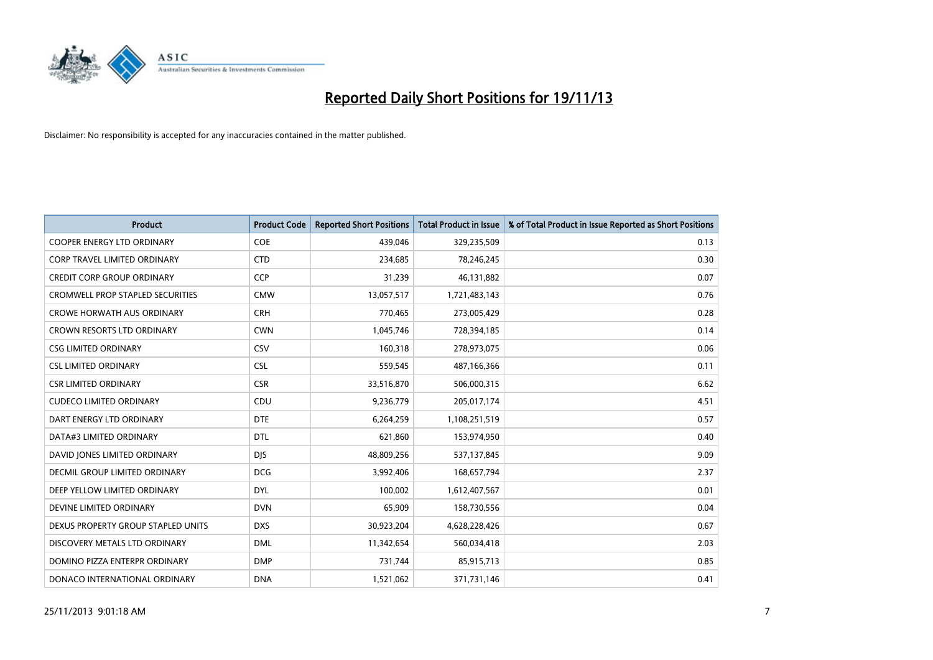

| <b>Product</b>                          | <b>Product Code</b> | <b>Reported Short Positions</b> | <b>Total Product in Issue</b> | % of Total Product in Issue Reported as Short Positions |
|-----------------------------------------|---------------------|---------------------------------|-------------------------------|---------------------------------------------------------|
| <b>COOPER ENERGY LTD ORDINARY</b>       | <b>COE</b>          | 439,046                         | 329,235,509                   | 0.13                                                    |
| CORP TRAVEL LIMITED ORDINARY            | <b>CTD</b>          | 234,685                         | 78,246,245                    | 0.30                                                    |
| <b>CREDIT CORP GROUP ORDINARY</b>       | <b>CCP</b>          | 31,239                          | 46,131,882                    | 0.07                                                    |
| <b>CROMWELL PROP STAPLED SECURITIES</b> | <b>CMW</b>          | 13,057,517                      | 1,721,483,143                 | 0.76                                                    |
| <b>CROWE HORWATH AUS ORDINARY</b>       | <b>CRH</b>          | 770,465                         | 273,005,429                   | 0.28                                                    |
| <b>CROWN RESORTS LTD ORDINARY</b>       | <b>CWN</b>          | 1,045,746                       | 728,394,185                   | 0.14                                                    |
| <b>CSG LIMITED ORDINARY</b>             | CSV                 | 160,318                         | 278,973,075                   | 0.06                                                    |
| <b>CSL LIMITED ORDINARY</b>             | <b>CSL</b>          | 559,545                         | 487,166,366                   | 0.11                                                    |
| <b>CSR LIMITED ORDINARY</b>             | <b>CSR</b>          | 33,516,870                      | 506,000,315                   | 6.62                                                    |
| <b>CUDECO LIMITED ORDINARY</b>          | CDU                 | 9,236,779                       | 205,017,174                   | 4.51                                                    |
| DART ENERGY LTD ORDINARY                | <b>DTE</b>          | 6,264,259                       | 1,108,251,519                 | 0.57                                                    |
| DATA#3 LIMITED ORDINARY                 | DTL                 | 621,860                         | 153,974,950                   | 0.40                                                    |
| DAVID JONES LIMITED ORDINARY            | <b>DJS</b>          | 48,809,256                      | 537,137,845                   | 9.09                                                    |
| <b>DECMIL GROUP LIMITED ORDINARY</b>    | <b>DCG</b>          | 3,992,406                       | 168,657,794                   | 2.37                                                    |
| DEEP YELLOW LIMITED ORDINARY            | <b>DYL</b>          | 100,002                         | 1,612,407,567                 | 0.01                                                    |
| DEVINE LIMITED ORDINARY                 | <b>DVN</b>          | 65,909                          | 158,730,556                   | 0.04                                                    |
| DEXUS PROPERTY GROUP STAPLED UNITS      | <b>DXS</b>          | 30,923,204                      | 4,628,228,426                 | 0.67                                                    |
| DISCOVERY METALS LTD ORDINARY           | <b>DML</b>          | 11,342,654                      | 560,034,418                   | 2.03                                                    |
| DOMINO PIZZA ENTERPR ORDINARY           | <b>DMP</b>          | 731,744                         | 85,915,713                    | 0.85                                                    |
| DONACO INTERNATIONAL ORDINARY           | <b>DNA</b>          | 1,521,062                       | 371,731,146                   | 0.41                                                    |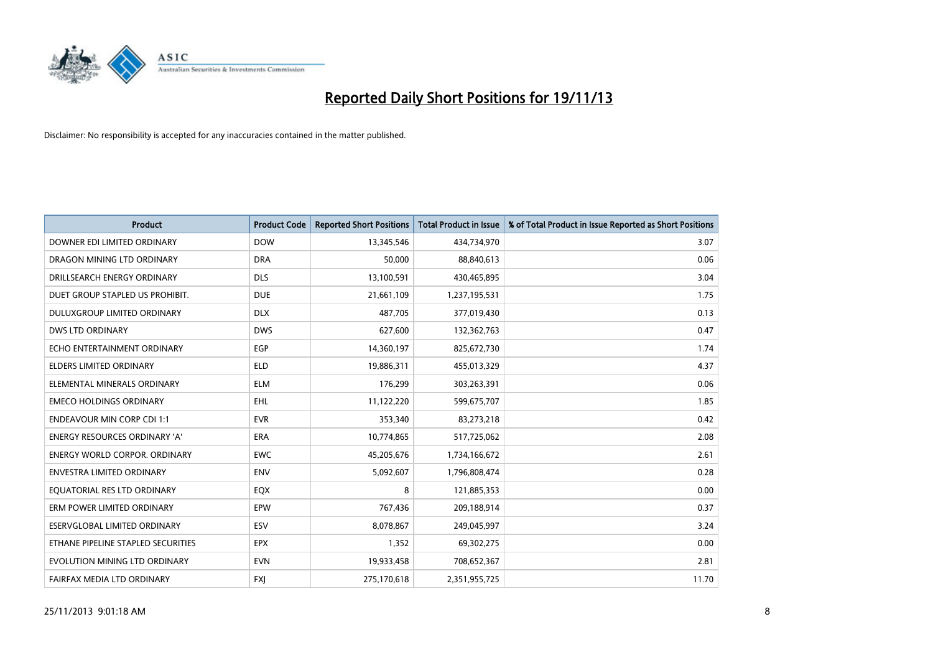

| <b>Product</b>                       | <b>Product Code</b> | <b>Reported Short Positions</b> | <b>Total Product in Issue</b> | % of Total Product in Issue Reported as Short Positions |
|--------------------------------------|---------------------|---------------------------------|-------------------------------|---------------------------------------------------------|
| DOWNER EDI LIMITED ORDINARY          | <b>DOW</b>          | 13,345,546                      | 434,734,970                   | 3.07                                                    |
| DRAGON MINING LTD ORDINARY           | <b>DRA</b>          | 50,000                          | 88,840,613                    | 0.06                                                    |
| DRILLSEARCH ENERGY ORDINARY          | <b>DLS</b>          | 13,100,591                      | 430,465,895                   | 3.04                                                    |
| DUET GROUP STAPLED US PROHIBIT.      | <b>DUE</b>          | 21,661,109                      | 1,237,195,531                 | 1.75                                                    |
| <b>DULUXGROUP LIMITED ORDINARY</b>   | <b>DLX</b>          | 487,705                         | 377,019,430                   | 0.13                                                    |
| <b>DWS LTD ORDINARY</b>              | <b>DWS</b>          | 627,600                         | 132,362,763                   | 0.47                                                    |
| ECHO ENTERTAINMENT ORDINARY          | <b>EGP</b>          | 14,360,197                      | 825,672,730                   | 1.74                                                    |
| ELDERS LIMITED ORDINARY              | <b>ELD</b>          | 19,886,311                      | 455,013,329                   | 4.37                                                    |
| ELEMENTAL MINERALS ORDINARY          | <b>ELM</b>          | 176,299                         | 303,263,391                   | 0.06                                                    |
| <b>EMECO HOLDINGS ORDINARY</b>       | <b>EHL</b>          | 11,122,220                      | 599,675,707                   | 1.85                                                    |
| <b>ENDEAVOUR MIN CORP CDI 1:1</b>    | <b>EVR</b>          | 353,340                         | 83,273,218                    | 0.42                                                    |
| <b>ENERGY RESOURCES ORDINARY 'A'</b> | ERA                 | 10,774,865                      | 517,725,062                   | 2.08                                                    |
| ENERGY WORLD CORPOR. ORDINARY        | <b>EWC</b>          | 45,205,676                      | 1,734,166,672                 | 2.61                                                    |
| <b>ENVESTRA LIMITED ORDINARY</b>     | <b>ENV</b>          | 5,092,607                       | 1,796,808,474                 | 0.28                                                    |
| EQUATORIAL RES LTD ORDINARY          | EQX                 | 8                               | 121,885,353                   | 0.00                                                    |
| ERM POWER LIMITED ORDINARY           | EPW                 | 767,436                         | 209,188,914                   | 0.37                                                    |
| ESERVGLOBAL LIMITED ORDINARY         | ESV                 | 8,078,867                       | 249,045,997                   | 3.24                                                    |
| ETHANE PIPELINE STAPLED SECURITIES   | <b>EPX</b>          | 1,352                           | 69,302,275                    | 0.00                                                    |
| EVOLUTION MINING LTD ORDINARY        | <b>EVN</b>          | 19,933,458                      | 708,652,367                   | 2.81                                                    |
| FAIRFAX MEDIA LTD ORDINARY           | <b>FXJ</b>          | 275,170,618                     | 2,351,955,725                 | 11.70                                                   |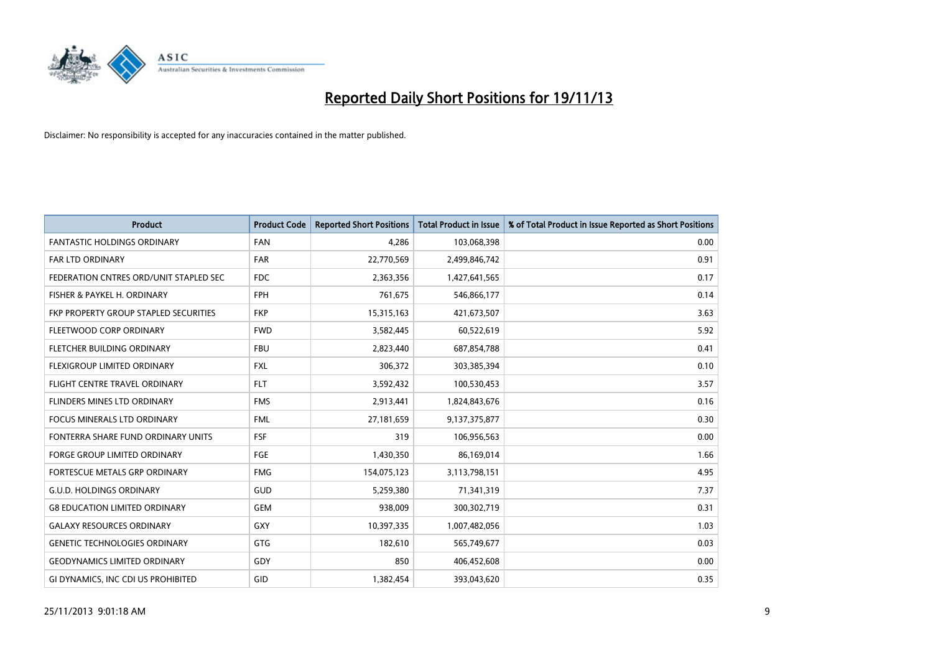

| <b>Product</b>                         | <b>Product Code</b> | <b>Reported Short Positions</b> | <b>Total Product in Issue</b> | % of Total Product in Issue Reported as Short Positions |
|----------------------------------------|---------------------|---------------------------------|-------------------------------|---------------------------------------------------------|
| <b>FANTASTIC HOLDINGS ORDINARY</b>     | <b>FAN</b>          | 4,286                           | 103,068,398                   | 0.00                                                    |
| FAR LTD ORDINARY                       | <b>FAR</b>          | 22,770,569                      | 2,499,846,742                 | 0.91                                                    |
| FEDERATION CNTRES ORD/UNIT STAPLED SEC | <b>FDC</b>          | 2,363,356                       | 1,427,641,565                 | 0.17                                                    |
| FISHER & PAYKEL H. ORDINARY            | <b>FPH</b>          | 761,675                         | 546,866,177                   | 0.14                                                    |
| FKP PROPERTY GROUP STAPLED SECURITIES  | <b>FKP</b>          | 15,315,163                      | 421,673,507                   | 3.63                                                    |
| FLEETWOOD CORP ORDINARY                | <b>FWD</b>          | 3,582,445                       | 60,522,619                    | 5.92                                                    |
| FLETCHER BUILDING ORDINARY             | <b>FBU</b>          | 2,823,440                       | 687,854,788                   | 0.41                                                    |
| FLEXIGROUP LIMITED ORDINARY            | <b>FXL</b>          | 306,372                         | 303,385,394                   | 0.10                                                    |
| FLIGHT CENTRE TRAVEL ORDINARY          | <b>FLT</b>          | 3,592,432                       | 100,530,453                   | 3.57                                                    |
| FLINDERS MINES LTD ORDINARY            | <b>FMS</b>          | 2,913,441                       | 1,824,843,676                 | 0.16                                                    |
| FOCUS MINERALS LTD ORDINARY            | <b>FML</b>          | 27,181,659                      | 9,137,375,877                 | 0.30                                                    |
| FONTERRA SHARE FUND ORDINARY UNITS     | <b>FSF</b>          | 319                             | 106,956,563                   | 0.00                                                    |
| FORGE GROUP LIMITED ORDINARY           | FGE                 | 1,430,350                       | 86,169,014                    | 1.66                                                    |
| FORTESCUE METALS GRP ORDINARY          | <b>FMG</b>          | 154,075,123                     | 3,113,798,151                 | 4.95                                                    |
| <b>G.U.D. HOLDINGS ORDINARY</b>        | <b>GUD</b>          | 5,259,380                       | 71,341,319                    | 7.37                                                    |
| <b>G8 EDUCATION LIMITED ORDINARY</b>   | <b>GEM</b>          | 938,009                         | 300,302,719                   | 0.31                                                    |
| <b>GALAXY RESOURCES ORDINARY</b>       | GXY                 | 10,397,335                      | 1,007,482,056                 | 1.03                                                    |
| <b>GENETIC TECHNOLOGIES ORDINARY</b>   | GTG                 | 182,610                         | 565,749,677                   | 0.03                                                    |
| <b>GEODYNAMICS LIMITED ORDINARY</b>    | GDY                 | 850                             | 406,452,608                   | 0.00                                                    |
| GI DYNAMICS, INC CDI US PROHIBITED     | GID                 | 1,382,454                       | 393,043,620                   | 0.35                                                    |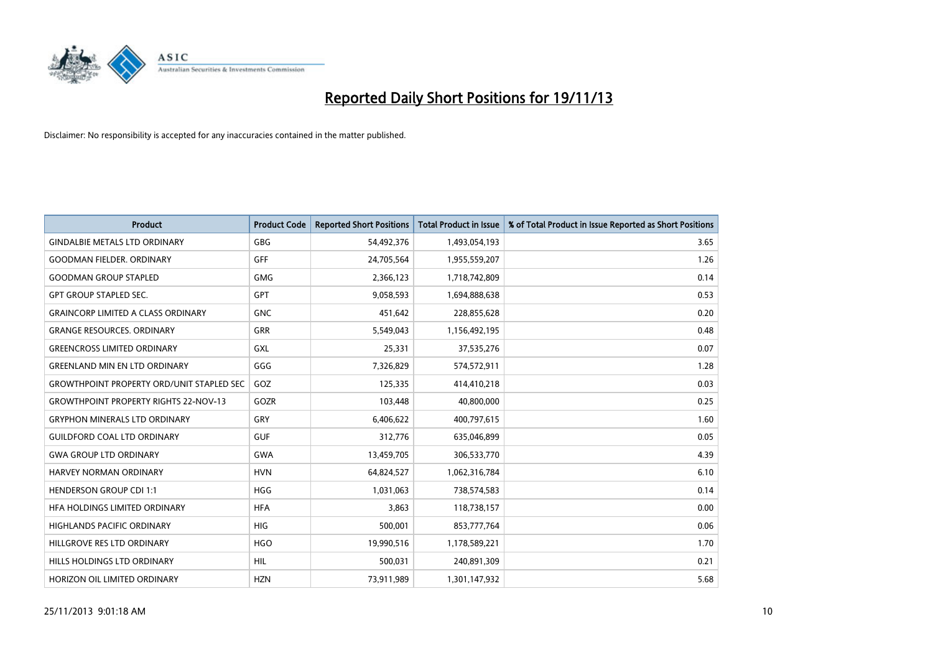

| <b>Product</b>                                   | <b>Product Code</b> | <b>Reported Short Positions</b> | <b>Total Product in Issue</b> | % of Total Product in Issue Reported as Short Positions |
|--------------------------------------------------|---------------------|---------------------------------|-------------------------------|---------------------------------------------------------|
| <b>GINDALBIE METALS LTD ORDINARY</b>             | GBG                 | 54,492,376                      | 1,493,054,193                 | 3.65                                                    |
| <b>GOODMAN FIELDER, ORDINARY</b>                 | GFF                 | 24,705,564                      | 1,955,559,207                 | 1.26                                                    |
| <b>GOODMAN GROUP STAPLED</b>                     | <b>GMG</b>          | 2,366,123                       | 1,718,742,809                 | 0.14                                                    |
| <b>GPT GROUP STAPLED SEC.</b>                    | GPT                 | 9,058,593                       | 1,694,888,638                 | 0.53                                                    |
| <b>GRAINCORP LIMITED A CLASS ORDINARY</b>        | <b>GNC</b>          | 451,642                         | 228,855,628                   | 0.20                                                    |
| <b>GRANGE RESOURCES, ORDINARY</b>                | <b>GRR</b>          | 5,549,043                       | 1,156,492,195                 | 0.48                                                    |
| <b>GREENCROSS LIMITED ORDINARY</b>               | <b>GXL</b>          | 25,331                          | 37,535,276                    | 0.07                                                    |
| <b>GREENLAND MIN EN LTD ORDINARY</b>             | GGG                 | 7,326,829                       | 574,572,911                   | 1.28                                                    |
| <b>GROWTHPOINT PROPERTY ORD/UNIT STAPLED SEC</b> | GOZ                 | 125,335                         | 414,410,218                   | 0.03                                                    |
| <b>GROWTHPOINT PROPERTY RIGHTS 22-NOV-13</b>     | GOZR                | 103,448                         | 40,800,000                    | 0.25                                                    |
| <b>GRYPHON MINERALS LTD ORDINARY</b>             | GRY                 | 6,406,622                       | 400,797,615                   | 1.60                                                    |
| <b>GUILDFORD COAL LTD ORDINARY</b>               | <b>GUF</b>          | 312,776                         | 635,046,899                   | 0.05                                                    |
| <b>GWA GROUP LTD ORDINARY</b>                    | <b>GWA</b>          | 13,459,705                      | 306,533,770                   | 4.39                                                    |
| HARVEY NORMAN ORDINARY                           | <b>HVN</b>          | 64,824,527                      | 1,062,316,784                 | 6.10                                                    |
| <b>HENDERSON GROUP CDI 1:1</b>                   | <b>HGG</b>          | 1,031,063                       | 738,574,583                   | 0.14                                                    |
| HFA HOLDINGS LIMITED ORDINARY                    | <b>HFA</b>          | 3,863                           | 118,738,157                   | 0.00                                                    |
| HIGHLANDS PACIFIC ORDINARY                       | <b>HIG</b>          | 500,001                         | 853,777,764                   | 0.06                                                    |
| HILLGROVE RES LTD ORDINARY                       | <b>HGO</b>          | 19,990,516                      | 1,178,589,221                 | 1.70                                                    |
| HILLS HOLDINGS LTD ORDINARY                      | <b>HIL</b>          | 500,031                         | 240,891,309                   | 0.21                                                    |
| HORIZON OIL LIMITED ORDINARY                     | <b>HZN</b>          | 73,911,989                      | 1,301,147,932                 | 5.68                                                    |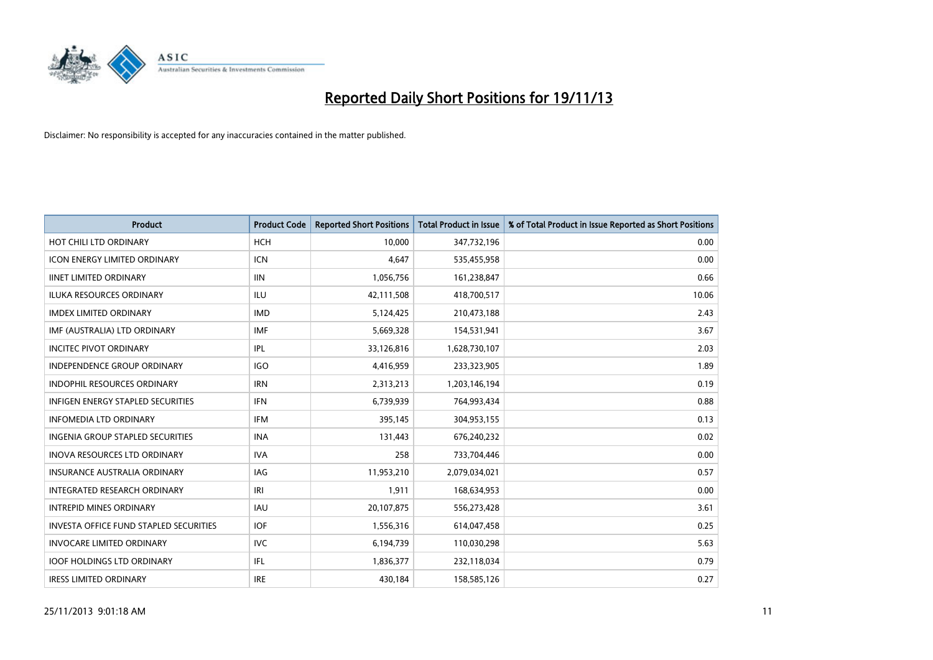

| <b>Product</b>                                | <b>Product Code</b> | <b>Reported Short Positions</b> | <b>Total Product in Issue</b> | % of Total Product in Issue Reported as Short Positions |
|-----------------------------------------------|---------------------|---------------------------------|-------------------------------|---------------------------------------------------------|
| HOT CHILI LTD ORDINARY                        | <b>HCH</b>          | 10,000                          | 347,732,196                   | 0.00                                                    |
| ICON ENERGY LIMITED ORDINARY                  | <b>ICN</b>          | 4,647                           | 535,455,958                   | 0.00                                                    |
| <b>IINET LIMITED ORDINARY</b>                 | <b>IIN</b>          | 1,056,756                       | 161,238,847                   | 0.66                                                    |
| ILUKA RESOURCES ORDINARY                      | ILU                 | 42,111,508                      | 418,700,517                   | 10.06                                                   |
| <b>IMDEX LIMITED ORDINARY</b>                 | <b>IMD</b>          | 5,124,425                       | 210,473,188                   | 2.43                                                    |
| IMF (AUSTRALIA) LTD ORDINARY                  | <b>IMF</b>          | 5,669,328                       | 154,531,941                   | 3.67                                                    |
| <b>INCITEC PIVOT ORDINARY</b>                 | IPL                 | 33,126,816                      | 1,628,730,107                 | 2.03                                                    |
| <b>INDEPENDENCE GROUP ORDINARY</b>            | <b>IGO</b>          | 4,416,959                       | 233,323,905                   | 1.89                                                    |
| INDOPHIL RESOURCES ORDINARY                   | <b>IRN</b>          | 2,313,213                       | 1,203,146,194                 | 0.19                                                    |
| <b>INFIGEN ENERGY STAPLED SECURITIES</b>      | IFN                 | 6,739,939                       | 764,993,434                   | 0.88                                                    |
| <b>INFOMEDIA LTD ORDINARY</b>                 | IFM                 | 395,145                         | 304,953,155                   | 0.13                                                    |
| <b>INGENIA GROUP STAPLED SECURITIES</b>       | <b>INA</b>          | 131,443                         | 676,240,232                   | 0.02                                                    |
| <b>INOVA RESOURCES LTD ORDINARY</b>           | <b>IVA</b>          | 258                             | 733,704,446                   | 0.00                                                    |
| <b>INSURANCE AUSTRALIA ORDINARY</b>           | <b>IAG</b>          | 11,953,210                      | 2,079,034,021                 | 0.57                                                    |
| INTEGRATED RESEARCH ORDINARY                  | IRI                 | 1,911                           | 168,634,953                   | 0.00                                                    |
| <b>INTREPID MINES ORDINARY</b>                | <b>IAU</b>          | 20,107,875                      | 556,273,428                   | 3.61                                                    |
| <b>INVESTA OFFICE FUND STAPLED SECURITIES</b> | <b>IOF</b>          | 1,556,316                       | 614,047,458                   | 0.25                                                    |
| <b>INVOCARE LIMITED ORDINARY</b>              | IVC                 | 6,194,739                       | 110,030,298                   | 5.63                                                    |
| <b>IOOF HOLDINGS LTD ORDINARY</b>             | IFL                 | 1,836,377                       | 232,118,034                   | 0.79                                                    |
| <b>IRESS LIMITED ORDINARY</b>                 | <b>IRE</b>          | 430.184                         | 158,585,126                   | 0.27                                                    |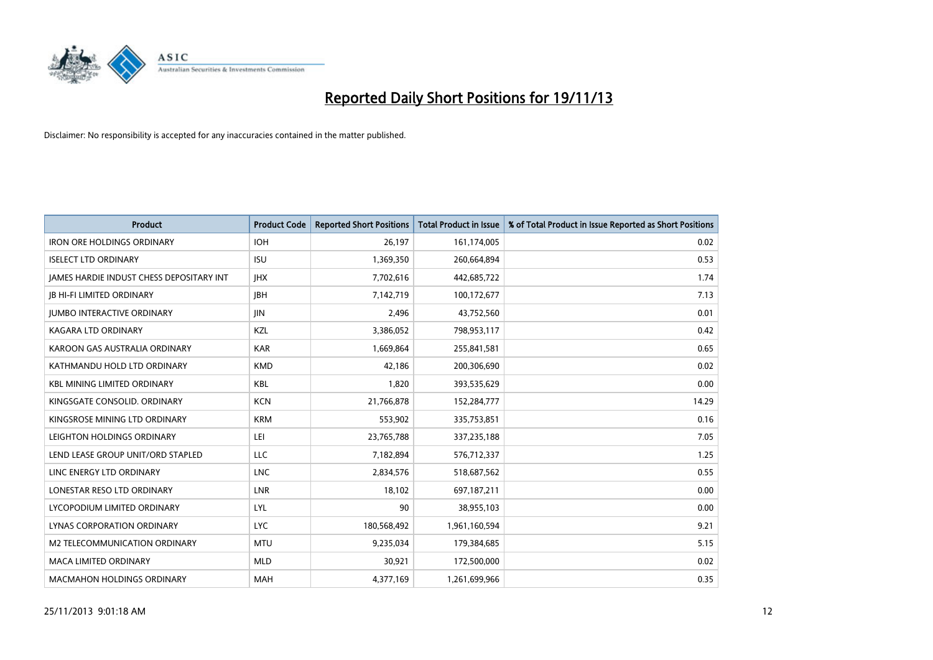

| <b>Product</b>                           | <b>Product Code</b> | <b>Reported Short Positions</b> | <b>Total Product in Issue</b> | % of Total Product in Issue Reported as Short Positions |
|------------------------------------------|---------------------|---------------------------------|-------------------------------|---------------------------------------------------------|
| <b>IRON ORE HOLDINGS ORDINARY</b>        | <b>IOH</b>          | 26,197                          | 161,174,005                   | 0.02                                                    |
| <b>ISELECT LTD ORDINARY</b>              | <b>ISU</b>          | 1,369,350                       | 260,664,894                   | 0.53                                                    |
| JAMES HARDIE INDUST CHESS DEPOSITARY INT | <b>IHX</b>          | 7,702,616                       | 442,685,722                   | 1.74                                                    |
| <b>JB HI-FI LIMITED ORDINARY</b>         | <b>IBH</b>          | 7,142,719                       | 100,172,677                   | 7.13                                                    |
| <b>JUMBO INTERACTIVE ORDINARY</b>        | <b>JIN</b>          | 2,496                           | 43,752,560                    | 0.01                                                    |
| <b>KAGARA LTD ORDINARY</b>               | KZL                 | 3,386,052                       | 798,953,117                   | 0.42                                                    |
| KAROON GAS AUSTRALIA ORDINARY            | <b>KAR</b>          | 1,669,864                       | 255,841,581                   | 0.65                                                    |
| KATHMANDU HOLD LTD ORDINARY              | <b>KMD</b>          | 42,186                          | 200,306,690                   | 0.02                                                    |
| <b>KBL MINING LIMITED ORDINARY</b>       | <b>KBL</b>          | 1,820                           | 393,535,629                   | 0.00                                                    |
| KINGSGATE CONSOLID. ORDINARY             | <b>KCN</b>          | 21,766,878                      | 152,284,777                   | 14.29                                                   |
| KINGSROSE MINING LTD ORDINARY            | <b>KRM</b>          | 553,902                         | 335,753,851                   | 0.16                                                    |
| LEIGHTON HOLDINGS ORDINARY               | LEI                 | 23,765,788                      | 337,235,188                   | 7.05                                                    |
| LEND LEASE GROUP UNIT/ORD STAPLED        | <b>LLC</b>          | 7,182,894                       | 576,712,337                   | 1.25                                                    |
| LINC ENERGY LTD ORDINARY                 | <b>LNC</b>          | 2,834,576                       | 518,687,562                   | 0.55                                                    |
| LONESTAR RESO LTD ORDINARY               | <b>LNR</b>          | 18,102                          | 697,187,211                   | 0.00                                                    |
| LYCOPODIUM LIMITED ORDINARY              | <b>LYL</b>          | 90                              | 38,955,103                    | 0.00                                                    |
| LYNAS CORPORATION ORDINARY               | <b>LYC</b>          | 180,568,492                     | 1,961,160,594                 | 9.21                                                    |
| M2 TELECOMMUNICATION ORDINARY            | <b>MTU</b>          | 9,235,034                       | 179,384,685                   | 5.15                                                    |
| <b>MACA LIMITED ORDINARY</b>             | <b>MLD</b>          | 30,921                          | 172,500,000                   | 0.02                                                    |
| <b>MACMAHON HOLDINGS ORDINARY</b>        | MAH                 | 4,377,169                       | 1,261,699,966                 | 0.35                                                    |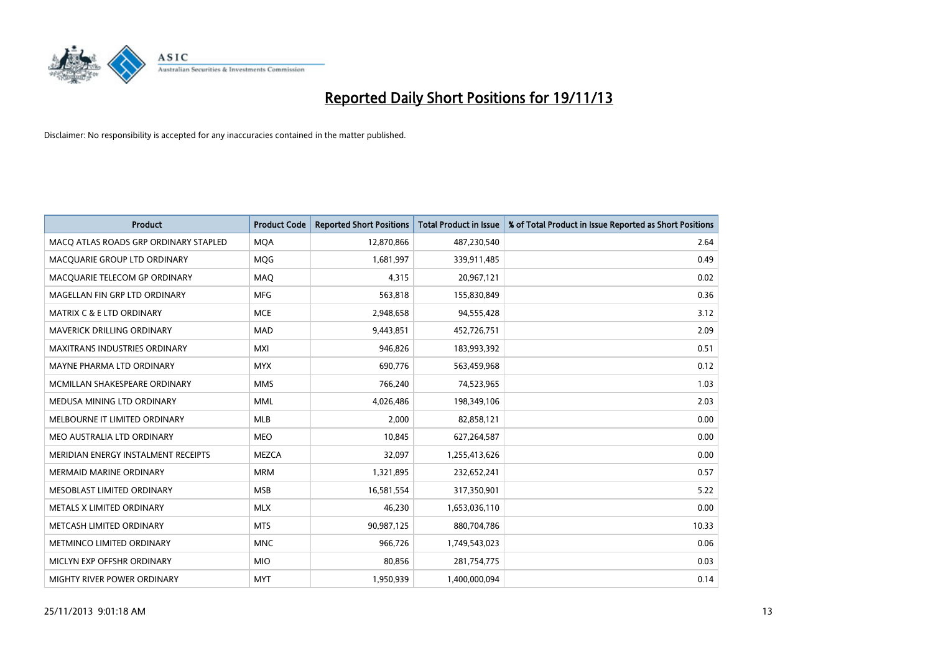

| <b>Product</b>                        | <b>Product Code</b> | <b>Reported Short Positions</b> | Total Product in Issue | % of Total Product in Issue Reported as Short Positions |
|---------------------------------------|---------------------|---------------------------------|------------------------|---------------------------------------------------------|
| MACO ATLAS ROADS GRP ORDINARY STAPLED | <b>MQA</b>          | 12,870,866                      | 487,230,540            | 2.64                                                    |
| MACQUARIE GROUP LTD ORDINARY          | MQG                 | 1,681,997                       | 339,911,485            | 0.49                                                    |
| MACQUARIE TELECOM GP ORDINARY         | MAQ                 | 4,315                           | 20,967,121             | 0.02                                                    |
| MAGELLAN FIN GRP LTD ORDINARY         | <b>MFG</b>          | 563,818                         | 155,830,849            | 0.36                                                    |
| <b>MATRIX C &amp; E LTD ORDINARY</b>  | <b>MCE</b>          | 2,948,658                       | 94,555,428             | 3.12                                                    |
| <b>MAVERICK DRILLING ORDINARY</b>     | MAD                 | 9,443,851                       | 452,726,751            | 2.09                                                    |
| MAXITRANS INDUSTRIES ORDINARY         | <b>MXI</b>          | 946,826                         | 183,993,392            | 0.51                                                    |
| MAYNE PHARMA LTD ORDINARY             | <b>MYX</b>          | 690,776                         | 563,459,968            | 0.12                                                    |
| MCMILLAN SHAKESPEARE ORDINARY         | <b>MMS</b>          | 766,240                         | 74,523,965             | 1.03                                                    |
| MEDUSA MINING LTD ORDINARY            | <b>MML</b>          | 4,026,486                       | 198,349,106            | 2.03                                                    |
| MELBOURNE IT LIMITED ORDINARY         | <b>MLB</b>          | 2,000                           | 82,858,121             | 0.00                                                    |
| MEO AUSTRALIA LTD ORDINARY            | <b>MEO</b>          | 10,845                          | 627,264,587            | 0.00                                                    |
| MERIDIAN ENERGY INSTALMENT RECEIPTS   | <b>MEZCA</b>        | 32,097                          | 1,255,413,626          | 0.00                                                    |
| <b>MERMAID MARINE ORDINARY</b>        | <b>MRM</b>          | 1,321,895                       | 232,652,241            | 0.57                                                    |
| MESOBLAST LIMITED ORDINARY            | <b>MSB</b>          | 16,581,554                      | 317,350,901            | 5.22                                                    |
| METALS X LIMITED ORDINARY             | <b>MLX</b>          | 46,230                          | 1,653,036,110          | 0.00                                                    |
| METCASH LIMITED ORDINARY              | <b>MTS</b>          | 90,987,125                      | 880,704,786            | 10.33                                                   |
| METMINCO LIMITED ORDINARY             | <b>MNC</b>          | 966,726                         | 1,749,543,023          | 0.06                                                    |
| MICLYN EXP OFFSHR ORDINARY            | <b>MIO</b>          | 80,856                          | 281,754,775            | 0.03                                                    |
| MIGHTY RIVER POWER ORDINARY           | <b>MYT</b>          | 1,950,939                       | 1,400,000,094          | 0.14                                                    |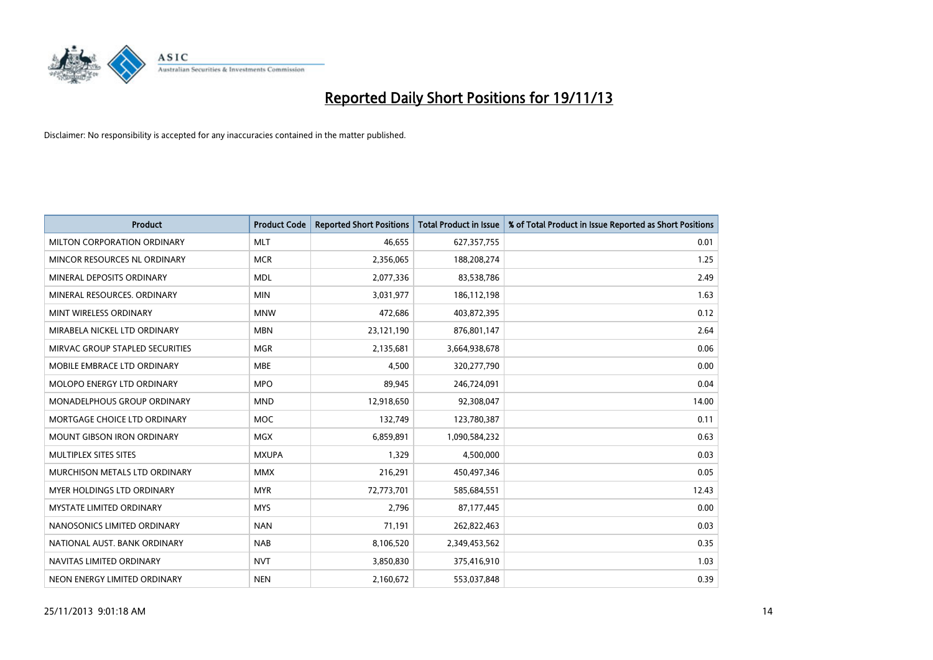

| <b>Product</b>                    | <b>Product Code</b> | <b>Reported Short Positions</b> | <b>Total Product in Issue</b> | % of Total Product in Issue Reported as Short Positions |
|-----------------------------------|---------------------|---------------------------------|-------------------------------|---------------------------------------------------------|
| MILTON CORPORATION ORDINARY       | <b>MLT</b>          | 46,655                          | 627,357,755                   | 0.01                                                    |
| MINCOR RESOURCES NL ORDINARY      | <b>MCR</b>          | 2,356,065                       | 188,208,274                   | 1.25                                                    |
| MINERAL DEPOSITS ORDINARY         | <b>MDL</b>          | 2,077,336                       | 83,538,786                    | 2.49                                                    |
| MINERAL RESOURCES, ORDINARY       | <b>MIN</b>          | 3,031,977                       | 186,112,198                   | 1.63                                                    |
| MINT WIRELESS ORDINARY            | <b>MNW</b>          | 472,686                         | 403,872,395                   | 0.12                                                    |
| MIRABELA NICKEL LTD ORDINARY      | <b>MBN</b>          | 23,121,190                      | 876,801,147                   | 2.64                                                    |
| MIRVAC GROUP STAPLED SECURITIES   | <b>MGR</b>          | 2,135,681                       | 3,664,938,678                 | 0.06                                                    |
| MOBILE EMBRACE LTD ORDINARY       | <b>MBE</b>          | 4,500                           | 320,277,790                   | 0.00                                                    |
| MOLOPO ENERGY LTD ORDINARY        | <b>MPO</b>          | 89,945                          | 246,724,091                   | 0.04                                                    |
| MONADELPHOUS GROUP ORDINARY       | <b>MND</b>          | 12,918,650                      | 92,308,047                    | 14.00                                                   |
| MORTGAGE CHOICE LTD ORDINARY      | MOC                 | 132,749                         | 123,780,387                   | 0.11                                                    |
| <b>MOUNT GIBSON IRON ORDINARY</b> | <b>MGX</b>          | 6,859,891                       | 1,090,584,232                 | 0.63                                                    |
| MULTIPLEX SITES SITES             | <b>MXUPA</b>        | 1,329                           | 4,500,000                     | 0.03                                                    |
| MURCHISON METALS LTD ORDINARY     | <b>MMX</b>          | 216,291                         | 450,497,346                   | 0.05                                                    |
| MYER HOLDINGS LTD ORDINARY        | <b>MYR</b>          | 72,773,701                      | 585,684,551                   | 12.43                                                   |
| MYSTATE LIMITED ORDINARY          | <b>MYS</b>          | 2,796                           | 87,177,445                    | 0.00                                                    |
| NANOSONICS LIMITED ORDINARY       | <b>NAN</b>          | 71,191                          | 262,822,463                   | 0.03                                                    |
| NATIONAL AUST, BANK ORDINARY      | <b>NAB</b>          | 8,106,520                       | 2,349,453,562                 | 0.35                                                    |
| NAVITAS LIMITED ORDINARY          | <b>NVT</b>          | 3,850,830                       | 375,416,910                   | 1.03                                                    |
| NEON ENERGY LIMITED ORDINARY      | <b>NEN</b>          | 2,160,672                       | 553,037,848                   | 0.39                                                    |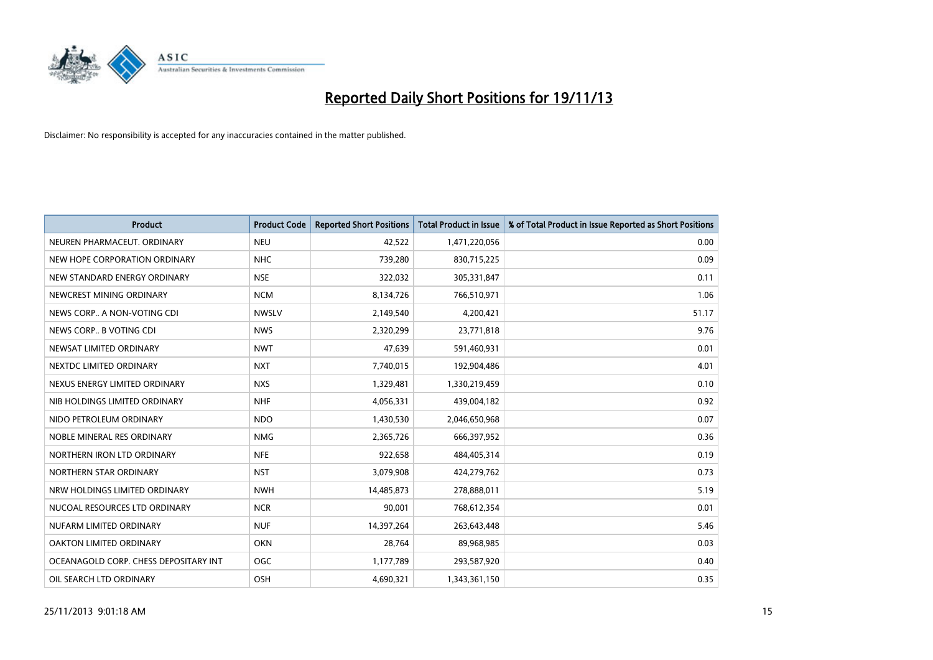

| <b>Product</b>                        | <b>Product Code</b> | <b>Reported Short Positions</b> | <b>Total Product in Issue</b> | % of Total Product in Issue Reported as Short Positions |
|---------------------------------------|---------------------|---------------------------------|-------------------------------|---------------------------------------------------------|
| NEUREN PHARMACEUT, ORDINARY           | <b>NEU</b>          | 42,522                          | 1,471,220,056                 | 0.00                                                    |
| NEW HOPE CORPORATION ORDINARY         | <b>NHC</b>          | 739,280                         | 830,715,225                   | 0.09                                                    |
| NEW STANDARD ENERGY ORDINARY          | <b>NSE</b>          | 322,032                         | 305,331,847                   | 0.11                                                    |
| NEWCREST MINING ORDINARY              | <b>NCM</b>          | 8,134,726                       | 766,510,971                   | 1.06                                                    |
| NEWS CORP A NON-VOTING CDI            | <b>NWSLV</b>        | 2,149,540                       | 4,200,421                     | 51.17                                                   |
| NEWS CORP B VOTING CDI                | <b>NWS</b>          | 2,320,299                       | 23,771,818                    | 9.76                                                    |
| NEWSAT LIMITED ORDINARY               | <b>NWT</b>          | 47,639                          | 591,460,931                   | 0.01                                                    |
| NEXTDC LIMITED ORDINARY               | <b>NXT</b>          | 7,740,015                       | 192,904,486                   | 4.01                                                    |
| NEXUS ENERGY LIMITED ORDINARY         | <b>NXS</b>          | 1,329,481                       | 1,330,219,459                 | 0.10                                                    |
| NIB HOLDINGS LIMITED ORDINARY         | <b>NHF</b>          | 4,056,331                       | 439,004,182                   | 0.92                                                    |
| NIDO PETROLEUM ORDINARY               | <b>NDO</b>          | 1,430,530                       | 2,046,650,968                 | 0.07                                                    |
| NOBLE MINERAL RES ORDINARY            | <b>NMG</b>          | 2,365,726                       | 666,397,952                   | 0.36                                                    |
| NORTHERN IRON LTD ORDINARY            | <b>NFE</b>          | 922,658                         | 484,405,314                   | 0.19                                                    |
| NORTHERN STAR ORDINARY                | <b>NST</b>          | 3,079,908                       | 424,279,762                   | 0.73                                                    |
| NRW HOLDINGS LIMITED ORDINARY         | <b>NWH</b>          | 14,485,873                      | 278,888,011                   | 5.19                                                    |
| NUCOAL RESOURCES LTD ORDINARY         | <b>NCR</b>          | 90,001                          | 768,612,354                   | 0.01                                                    |
| NUFARM LIMITED ORDINARY               | <b>NUF</b>          | 14,397,264                      | 263,643,448                   | 5.46                                                    |
| OAKTON LIMITED ORDINARY               | <b>OKN</b>          | 28,764                          | 89,968,985                    | 0.03                                                    |
| OCEANAGOLD CORP. CHESS DEPOSITARY INT | <b>OGC</b>          | 1,177,789                       | 293,587,920                   | 0.40                                                    |
| OIL SEARCH LTD ORDINARY               | OSH                 | 4,690,321                       | 1,343,361,150                 | 0.35                                                    |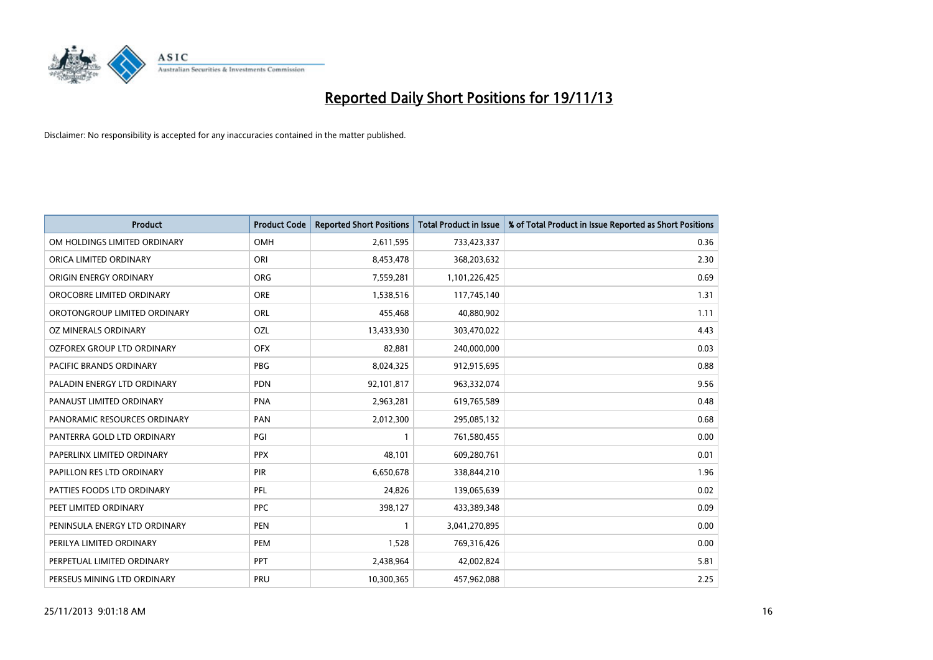

| <b>Product</b>                | <b>Product Code</b> | <b>Reported Short Positions</b> | <b>Total Product in Issue</b> | % of Total Product in Issue Reported as Short Positions |
|-------------------------------|---------------------|---------------------------------|-------------------------------|---------------------------------------------------------|
| OM HOLDINGS LIMITED ORDINARY  | <b>OMH</b>          | 2,611,595                       | 733,423,337                   | 0.36                                                    |
| ORICA LIMITED ORDINARY        | ORI                 | 8,453,478                       | 368,203,632                   | 2.30                                                    |
| ORIGIN ENERGY ORDINARY        | <b>ORG</b>          | 7,559,281                       | 1,101,226,425                 | 0.69                                                    |
| OROCOBRE LIMITED ORDINARY     | <b>ORE</b>          | 1,538,516                       | 117,745,140                   | 1.31                                                    |
| OROTONGROUP LIMITED ORDINARY  | ORL                 | 455,468                         | 40,880,902                    | 1.11                                                    |
| OZ MINERALS ORDINARY          | <b>OZL</b>          | 13,433,930                      | 303,470,022                   | 4.43                                                    |
| OZFOREX GROUP LTD ORDINARY    | <b>OFX</b>          | 82,881                          | 240,000,000                   | 0.03                                                    |
| PACIFIC BRANDS ORDINARY       | <b>PBG</b>          | 8,024,325                       | 912,915,695                   | 0.88                                                    |
| PALADIN ENERGY LTD ORDINARY   | <b>PDN</b>          | 92,101,817                      | 963,332,074                   | 9.56                                                    |
| PANAUST LIMITED ORDINARY      | <b>PNA</b>          | 2,963,281                       | 619,765,589                   | 0.48                                                    |
| PANORAMIC RESOURCES ORDINARY  | PAN                 | 2,012,300                       | 295,085,132                   | 0.68                                                    |
| PANTERRA GOLD LTD ORDINARY    | PGI                 | $\mathbf{1}$                    | 761,580,455                   | 0.00                                                    |
| PAPERLINX LIMITED ORDINARY    | <b>PPX</b>          | 48,101                          | 609,280,761                   | 0.01                                                    |
| PAPILLON RES LTD ORDINARY     | PIR                 | 6,650,678                       | 338,844,210                   | 1.96                                                    |
| PATTIES FOODS LTD ORDINARY    | PFL                 | 24,826                          | 139,065,639                   | 0.02                                                    |
| PEET LIMITED ORDINARY         | <b>PPC</b>          | 398,127                         | 433,389,348                   | 0.09                                                    |
| PENINSULA ENERGY LTD ORDINARY | <b>PEN</b>          | $\mathbf{1}$                    | 3,041,270,895                 | 0.00                                                    |
| PERILYA LIMITED ORDINARY      | <b>PEM</b>          | 1,528                           | 769,316,426                   | 0.00                                                    |
| PERPETUAL LIMITED ORDINARY    | <b>PPT</b>          | 2,438,964                       | 42,002,824                    | 5.81                                                    |
| PERSEUS MINING LTD ORDINARY   | PRU                 | 10,300,365                      | 457,962,088                   | 2.25                                                    |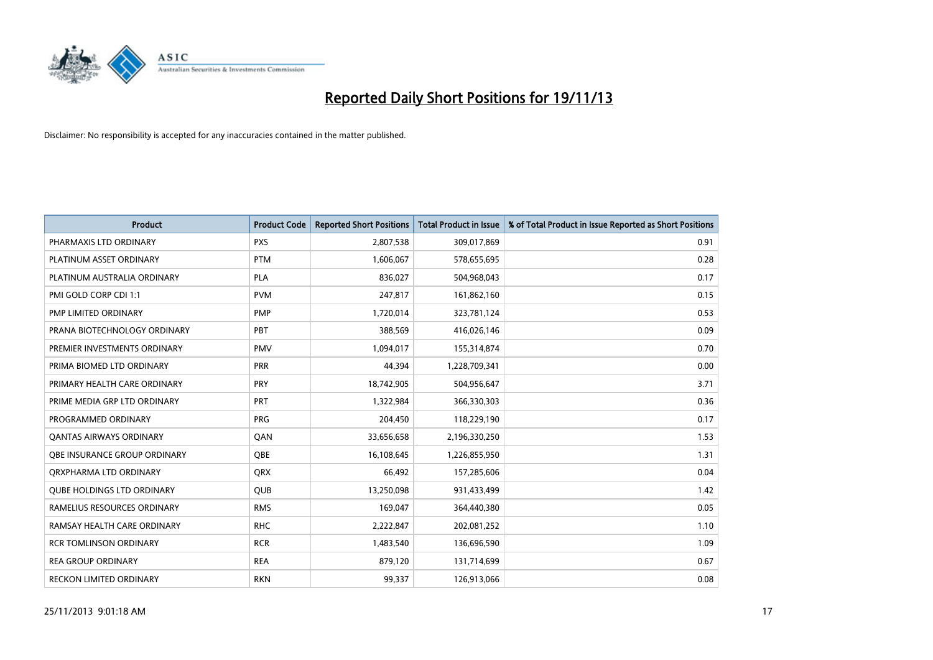

| <b>Product</b>                    | <b>Product Code</b> | <b>Reported Short Positions</b> | <b>Total Product in Issue</b> | % of Total Product in Issue Reported as Short Positions |
|-----------------------------------|---------------------|---------------------------------|-------------------------------|---------------------------------------------------------|
| PHARMAXIS LTD ORDINARY            | <b>PXS</b>          | 2,807,538                       | 309,017,869                   | 0.91                                                    |
| PLATINUM ASSET ORDINARY           | <b>PTM</b>          | 1,606,067                       | 578,655,695                   | 0.28                                                    |
| PLATINUM AUSTRALIA ORDINARY       | <b>PLA</b>          | 836,027                         | 504,968,043                   | 0.17                                                    |
| PMI GOLD CORP CDI 1:1             | <b>PVM</b>          | 247,817                         | 161,862,160                   | 0.15                                                    |
| PMP LIMITED ORDINARY              | <b>PMP</b>          | 1,720,014                       | 323,781,124                   | 0.53                                                    |
| PRANA BIOTECHNOLOGY ORDINARY      | PBT                 | 388,569                         | 416,026,146                   | 0.09                                                    |
| PREMIER INVESTMENTS ORDINARY      | <b>PMV</b>          | 1,094,017                       | 155,314,874                   | 0.70                                                    |
| PRIMA BIOMED LTD ORDINARY         | <b>PRR</b>          | 44,394                          | 1,228,709,341                 | 0.00                                                    |
| PRIMARY HEALTH CARE ORDINARY      | <b>PRY</b>          | 18,742,905                      | 504,956,647                   | 3.71                                                    |
| PRIME MEDIA GRP LTD ORDINARY      | <b>PRT</b>          | 1,322,984                       | 366,330,303                   | 0.36                                                    |
| PROGRAMMED ORDINARY               | <b>PRG</b>          | 204,450                         | 118,229,190                   | 0.17                                                    |
| <b>QANTAS AIRWAYS ORDINARY</b>    | QAN                 | 33,656,658                      | 2,196,330,250                 | 1.53                                                    |
| OBE INSURANCE GROUP ORDINARY      | <b>OBE</b>          | 16,108,645                      | 1,226,855,950                 | 1.31                                                    |
| ORXPHARMA LTD ORDINARY            | <b>QRX</b>          | 66,492                          | 157,285,606                   | 0.04                                                    |
| <b>QUBE HOLDINGS LTD ORDINARY</b> | <b>QUB</b>          | 13,250,098                      | 931,433,499                   | 1.42                                                    |
| RAMELIUS RESOURCES ORDINARY       | <b>RMS</b>          | 169,047                         | 364,440,380                   | 0.05                                                    |
| RAMSAY HEALTH CARE ORDINARY       | <b>RHC</b>          | 2,222,847                       | 202,081,252                   | 1.10                                                    |
| <b>RCR TOMLINSON ORDINARY</b>     | <b>RCR</b>          | 1,483,540                       | 136,696,590                   | 1.09                                                    |
| <b>REA GROUP ORDINARY</b>         | <b>REA</b>          | 879,120                         | 131,714,699                   | 0.67                                                    |
| RECKON LIMITED ORDINARY           | <b>RKN</b>          | 99,337                          | 126,913,066                   | 0.08                                                    |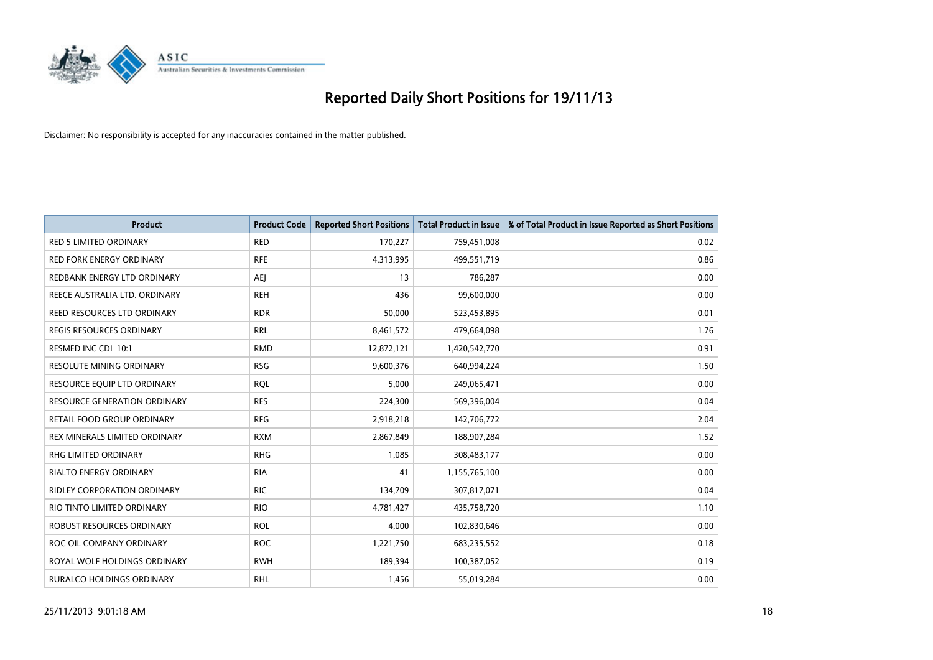

| <b>Product</b>                      | <b>Product Code</b> | <b>Reported Short Positions</b> | <b>Total Product in Issue</b> | % of Total Product in Issue Reported as Short Positions |
|-------------------------------------|---------------------|---------------------------------|-------------------------------|---------------------------------------------------------|
| RED 5 LIMITED ORDINARY              | <b>RED</b>          | 170,227                         | 759,451,008                   | 0.02                                                    |
| RED FORK ENERGY ORDINARY            | <b>RFE</b>          | 4,313,995                       | 499,551,719                   | 0.86                                                    |
| REDBANK ENERGY LTD ORDINARY         | AEJ                 | 13                              | 786,287                       | 0.00                                                    |
| REECE AUSTRALIA LTD. ORDINARY       | <b>REH</b>          | 436                             | 99,600,000                    | 0.00                                                    |
| REED RESOURCES LTD ORDINARY         | <b>RDR</b>          | 50,000                          | 523,453,895                   | 0.01                                                    |
| <b>REGIS RESOURCES ORDINARY</b>     | <b>RRL</b>          | 8,461,572                       | 479,664,098                   | 1.76                                                    |
| RESMED INC CDI 10:1                 | <b>RMD</b>          | 12,872,121                      | 1,420,542,770                 | 0.91                                                    |
| RESOLUTE MINING ORDINARY            | <b>RSG</b>          | 9,600,376                       | 640,994,224                   | 1.50                                                    |
| RESOURCE EQUIP LTD ORDINARY         | <b>ROL</b>          | 5,000                           | 249,065,471                   | 0.00                                                    |
| <b>RESOURCE GENERATION ORDINARY</b> | <b>RES</b>          | 224,300                         | 569,396,004                   | 0.04                                                    |
| RETAIL FOOD GROUP ORDINARY          | <b>RFG</b>          | 2,918,218                       | 142,706,772                   | 2.04                                                    |
| REX MINERALS LIMITED ORDINARY       | <b>RXM</b>          | 2,867,849                       | 188,907,284                   | 1.52                                                    |
| RHG LIMITED ORDINARY                | <b>RHG</b>          | 1,085                           | 308,483,177                   | 0.00                                                    |
| <b>RIALTO ENERGY ORDINARY</b>       | <b>RIA</b>          | 41                              | 1,155,765,100                 | 0.00                                                    |
| <b>RIDLEY CORPORATION ORDINARY</b>  | <b>RIC</b>          | 134,709                         | 307,817,071                   | 0.04                                                    |
| RIO TINTO LIMITED ORDINARY          | <b>RIO</b>          | 4,781,427                       | 435,758,720                   | 1.10                                                    |
| ROBUST RESOURCES ORDINARY           | <b>ROL</b>          | 4,000                           | 102,830,646                   | 0.00                                                    |
| ROC OIL COMPANY ORDINARY            | <b>ROC</b>          | 1,221,750                       | 683,235,552                   | 0.18                                                    |
| ROYAL WOLF HOLDINGS ORDINARY        | <b>RWH</b>          | 189,394                         | 100,387,052                   | 0.19                                                    |
| RURALCO HOLDINGS ORDINARY           | <b>RHL</b>          | 1,456                           | 55,019,284                    | 0.00                                                    |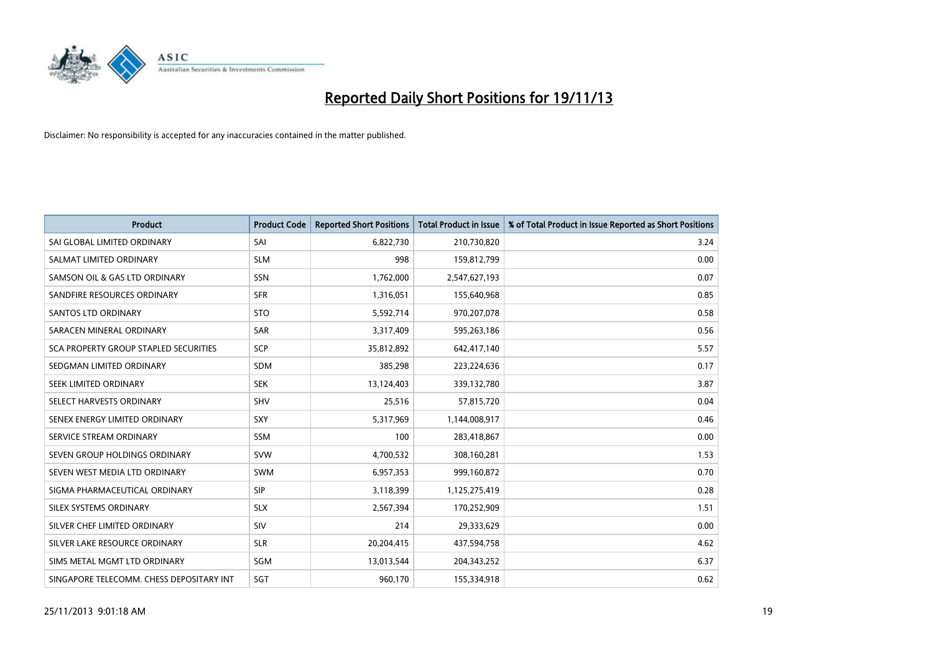

| <b>Product</b>                           | <b>Product Code</b> | <b>Reported Short Positions</b> | <b>Total Product in Issue</b> | % of Total Product in Issue Reported as Short Positions |
|------------------------------------------|---------------------|---------------------------------|-------------------------------|---------------------------------------------------------|
| SAI GLOBAL LIMITED ORDINARY              | SAI                 | 6,822,730                       | 210,730,820                   | 3.24                                                    |
| SALMAT LIMITED ORDINARY                  | <b>SLM</b>          | 998                             | 159,812,799                   | 0.00                                                    |
| SAMSON OIL & GAS LTD ORDINARY            | <b>SSN</b>          | 1,762,000                       | 2,547,627,193                 | 0.07                                                    |
| SANDFIRE RESOURCES ORDINARY              | <b>SFR</b>          | 1,316,051                       | 155,640,968                   | 0.85                                                    |
| <b>SANTOS LTD ORDINARY</b>               | <b>STO</b>          | 5,592,714                       | 970,207,078                   | 0.58                                                    |
| SARACEN MINERAL ORDINARY                 | <b>SAR</b>          | 3,317,409                       | 595,263,186                   | 0.56                                                    |
| SCA PROPERTY GROUP STAPLED SECURITIES    | <b>SCP</b>          | 35,812,892                      | 642,417,140                   | 5.57                                                    |
| SEDGMAN LIMITED ORDINARY                 | SDM                 | 385,298                         | 223,224,636                   | 0.17                                                    |
| SEEK LIMITED ORDINARY                    | <b>SEK</b>          | 13,124,403                      | 339,132,780                   | 3.87                                                    |
| SELECT HARVESTS ORDINARY                 | <b>SHV</b>          | 25,516                          | 57,815,720                    | 0.04                                                    |
| SENEX ENERGY LIMITED ORDINARY            | <b>SXY</b>          | 5,317,969                       | 1,144,008,917                 | 0.46                                                    |
| SERVICE STREAM ORDINARY                  | SSM                 | 100                             | 283,418,867                   | 0.00                                                    |
| SEVEN GROUP HOLDINGS ORDINARY            | <b>SVW</b>          | 4,700,532                       | 308,160,281                   | 1.53                                                    |
| SEVEN WEST MEDIA LTD ORDINARY            | <b>SWM</b>          | 6,957,353                       | 999,160,872                   | 0.70                                                    |
| SIGMA PHARMACEUTICAL ORDINARY            | <b>SIP</b>          | 3,118,399                       | 1,125,275,419                 | 0.28                                                    |
| SILEX SYSTEMS ORDINARY                   | <b>SLX</b>          | 2,567,394                       | 170,252,909                   | 1.51                                                    |
| SILVER CHEF LIMITED ORDINARY             | SIV                 | 214                             | 29,333,629                    | 0.00                                                    |
| SILVER LAKE RESOURCE ORDINARY            | <b>SLR</b>          | 20,204,415                      | 437,594,758                   | 4.62                                                    |
| SIMS METAL MGMT LTD ORDINARY             | SGM                 | 13,013,544                      | 204,343,252                   | 6.37                                                    |
| SINGAPORE TELECOMM. CHESS DEPOSITARY INT | SGT                 | 960,170                         | 155,334,918                   | 0.62                                                    |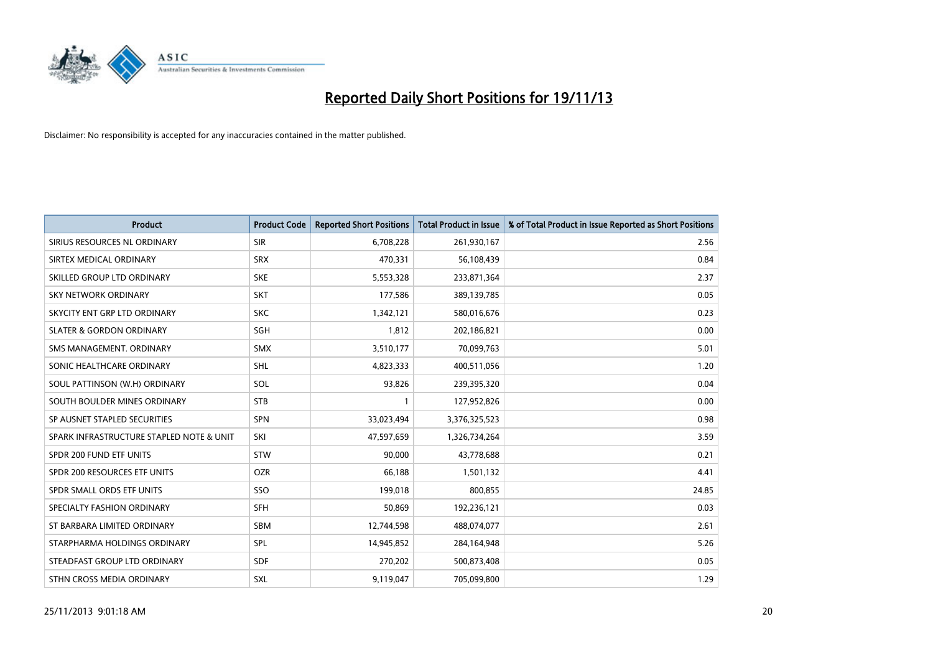

| <b>Product</b>                           | <b>Product Code</b> | <b>Reported Short Positions</b> | <b>Total Product in Issue</b> | % of Total Product in Issue Reported as Short Positions |
|------------------------------------------|---------------------|---------------------------------|-------------------------------|---------------------------------------------------------|
| SIRIUS RESOURCES NL ORDINARY             | <b>SIR</b>          | 6,708,228                       | 261,930,167                   | 2.56                                                    |
| SIRTEX MEDICAL ORDINARY                  | <b>SRX</b>          | 470,331                         | 56,108,439                    | 0.84                                                    |
| SKILLED GROUP LTD ORDINARY               | <b>SKE</b>          | 5,553,328                       | 233,871,364                   | 2.37                                                    |
| <b>SKY NETWORK ORDINARY</b>              | <b>SKT</b>          | 177,586                         | 389,139,785                   | 0.05                                                    |
| SKYCITY ENT GRP LTD ORDINARY             | <b>SKC</b>          | 1,342,121                       | 580,016,676                   | 0.23                                                    |
| <b>SLATER &amp; GORDON ORDINARY</b>      | SGH                 | 1,812                           | 202,186,821                   | 0.00                                                    |
| SMS MANAGEMENT, ORDINARY                 | <b>SMX</b>          | 3,510,177                       | 70,099,763                    | 5.01                                                    |
| SONIC HEALTHCARE ORDINARY                | <b>SHL</b>          | 4,823,333                       | 400,511,056                   | 1.20                                                    |
| SOUL PATTINSON (W.H) ORDINARY            | SOL                 | 93,826                          | 239,395,320                   | 0.04                                                    |
| SOUTH BOULDER MINES ORDINARY             | <b>STB</b>          | 1                               | 127,952,826                   | 0.00                                                    |
| SP AUSNET STAPLED SECURITIES             | <b>SPN</b>          | 33,023,494                      | 3,376,325,523                 | 0.98                                                    |
| SPARK INFRASTRUCTURE STAPLED NOTE & UNIT | SKI                 | 47,597,659                      | 1,326,734,264                 | 3.59                                                    |
| SPDR 200 FUND ETF UNITS                  | <b>STW</b>          | 90,000                          | 43,778,688                    | 0.21                                                    |
| SPDR 200 RESOURCES ETF UNITS             | <b>OZR</b>          | 66,188                          | 1,501,132                     | 4.41                                                    |
| SPDR SMALL ORDS ETF UNITS                | SSO                 | 199,018                         | 800,855                       | 24.85                                                   |
| SPECIALTY FASHION ORDINARY               | SFH                 | 50,869                          | 192,236,121                   | 0.03                                                    |
| ST BARBARA LIMITED ORDINARY              | SBM                 | 12,744,598                      | 488,074,077                   | 2.61                                                    |
| STARPHARMA HOLDINGS ORDINARY             | SPL                 | 14,945,852                      | 284,164,948                   | 5.26                                                    |
| STEADFAST GROUP LTD ORDINARY             | <b>SDF</b>          | 270,202                         | 500,873,408                   | 0.05                                                    |
| STHN CROSS MEDIA ORDINARY                | <b>SXL</b>          | 9,119,047                       | 705,099,800                   | 1.29                                                    |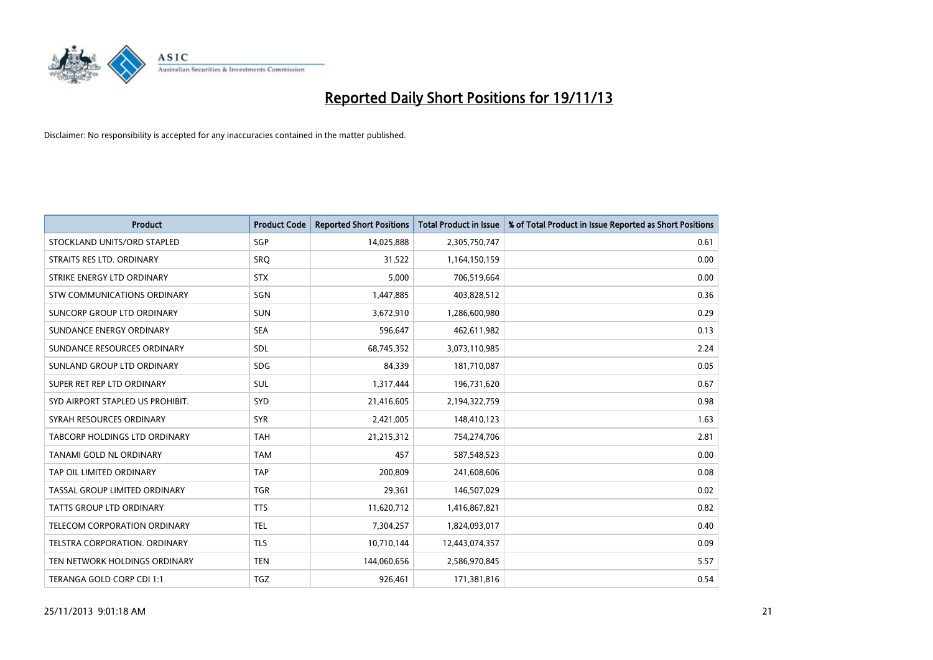

| <b>Product</b>                   | <b>Product Code</b> | <b>Reported Short Positions</b> | <b>Total Product in Issue</b> | % of Total Product in Issue Reported as Short Positions |
|----------------------------------|---------------------|---------------------------------|-------------------------------|---------------------------------------------------------|
| STOCKLAND UNITS/ORD STAPLED      | SGP                 | 14,025,888                      | 2,305,750,747                 | 0.61                                                    |
| STRAITS RES LTD. ORDINARY        | <b>SRQ</b>          | 31,522                          | 1,164,150,159                 | 0.00                                                    |
| STRIKE ENERGY LTD ORDINARY       | <b>STX</b>          | 5,000                           | 706,519,664                   | 0.00                                                    |
| STW COMMUNICATIONS ORDINARY      | SGN                 | 1,447,885                       | 403,828,512                   | 0.36                                                    |
| SUNCORP GROUP LTD ORDINARY       | <b>SUN</b>          | 3,672,910                       | 1,286,600,980                 | 0.29                                                    |
| SUNDANCE ENERGY ORDINARY         | <b>SEA</b>          | 596,647                         | 462,611,982                   | 0.13                                                    |
| SUNDANCE RESOURCES ORDINARY      | SDL                 | 68,745,352                      | 3,073,110,985                 | 2.24                                                    |
| SUNLAND GROUP LTD ORDINARY       | <b>SDG</b>          | 84,339                          | 181,710,087                   | 0.05                                                    |
| SUPER RET REP LTD ORDINARY       | <b>SUL</b>          | 1,317,444                       | 196,731,620                   | 0.67                                                    |
| SYD AIRPORT STAPLED US PROHIBIT. | SYD                 | 21,416,605                      | 2,194,322,759                 | 0.98                                                    |
| SYRAH RESOURCES ORDINARY         | <b>SYR</b>          | 2,421,005                       | 148,410,123                   | 1.63                                                    |
| TABCORP HOLDINGS LTD ORDINARY    | <b>TAH</b>          | 21,215,312                      | 754,274,706                   | 2.81                                                    |
| TANAMI GOLD NL ORDINARY          | <b>TAM</b>          | 457                             | 587,548,523                   | 0.00                                                    |
| TAP OIL LIMITED ORDINARY         | <b>TAP</b>          | 200,809                         | 241,608,606                   | 0.08                                                    |
| TASSAL GROUP LIMITED ORDINARY    | <b>TGR</b>          | 29,361                          | 146,507,029                   | 0.02                                                    |
| TATTS GROUP LTD ORDINARY         | <b>TTS</b>          | 11,620,712                      | 1,416,867,821                 | 0.82                                                    |
| TELECOM CORPORATION ORDINARY     | <b>TEL</b>          | 7,304,257                       | 1,824,093,017                 | 0.40                                                    |
| TELSTRA CORPORATION. ORDINARY    | <b>TLS</b>          | 10,710,144                      | 12,443,074,357                | 0.09                                                    |
| TEN NETWORK HOLDINGS ORDINARY    | <b>TEN</b>          | 144,060,656                     | 2,586,970,845                 | 5.57                                                    |
| TERANGA GOLD CORP CDI 1:1        | <b>TGZ</b>          | 926,461                         | 171,381,816                   | 0.54                                                    |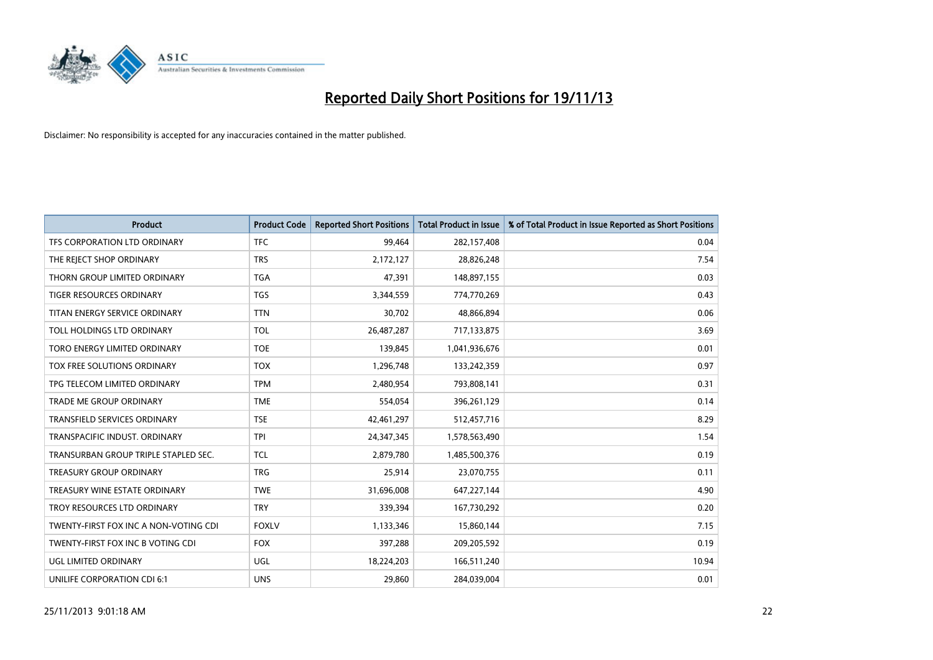

| <b>Product</b>                        | <b>Product Code</b> | <b>Reported Short Positions</b> | <b>Total Product in Issue</b> | % of Total Product in Issue Reported as Short Positions |
|---------------------------------------|---------------------|---------------------------------|-------------------------------|---------------------------------------------------------|
| TFS CORPORATION LTD ORDINARY          | <b>TFC</b>          | 99,464                          | 282,157,408                   | 0.04                                                    |
| THE REJECT SHOP ORDINARY              | <b>TRS</b>          | 2,172,127                       | 28,826,248                    | 7.54                                                    |
| THORN GROUP LIMITED ORDINARY          | <b>TGA</b>          | 47,391                          | 148,897,155                   | 0.03                                                    |
| TIGER RESOURCES ORDINARY              | <b>TGS</b>          | 3,344,559                       | 774,770,269                   | 0.43                                                    |
| TITAN ENERGY SERVICE ORDINARY         | <b>TTN</b>          | 30,702                          | 48,866,894                    | 0.06                                                    |
| TOLL HOLDINGS LTD ORDINARY            | <b>TOL</b>          | 26,487,287                      | 717,133,875                   | 3.69                                                    |
| TORO ENERGY LIMITED ORDINARY          | <b>TOE</b>          | 139,845                         | 1,041,936,676                 | 0.01                                                    |
| TOX FREE SOLUTIONS ORDINARY           | <b>TOX</b>          | 1,296,748                       | 133,242,359                   | 0.97                                                    |
| TPG TELECOM LIMITED ORDINARY          | <b>TPM</b>          | 2,480,954                       | 793,808,141                   | 0.31                                                    |
| <b>TRADE ME GROUP ORDINARY</b>        | <b>TME</b>          | 554,054                         | 396,261,129                   | 0.14                                                    |
| TRANSFIELD SERVICES ORDINARY          | <b>TSE</b>          | 42,461,297                      | 512,457,716                   | 8.29                                                    |
| TRANSPACIFIC INDUST, ORDINARY         | <b>TPI</b>          | 24,347,345                      | 1,578,563,490                 | 1.54                                                    |
| TRANSURBAN GROUP TRIPLE STAPLED SEC.  | <b>TCL</b>          | 2,879,780                       | 1,485,500,376                 | 0.19                                                    |
| <b>TREASURY GROUP ORDINARY</b>        | <b>TRG</b>          | 25,914                          | 23,070,755                    | 0.11                                                    |
| TREASURY WINE ESTATE ORDINARY         | <b>TWE</b>          | 31,696,008                      | 647,227,144                   | 4.90                                                    |
| TROY RESOURCES LTD ORDINARY           | <b>TRY</b>          | 339,394                         | 167,730,292                   | 0.20                                                    |
| TWENTY-FIRST FOX INC A NON-VOTING CDI | <b>FOXLV</b>        | 1,133,346                       | 15,860,144                    | 7.15                                                    |
| TWENTY-FIRST FOX INC B VOTING CDI     | <b>FOX</b>          | 397,288                         | 209,205,592                   | 0.19                                                    |
| <b>UGL LIMITED ORDINARY</b>           | UGL                 | 18,224,203                      | 166,511,240                   | 10.94                                                   |
| UNILIFE CORPORATION CDI 6:1           | <b>UNS</b>          | 29,860                          | 284,039,004                   | 0.01                                                    |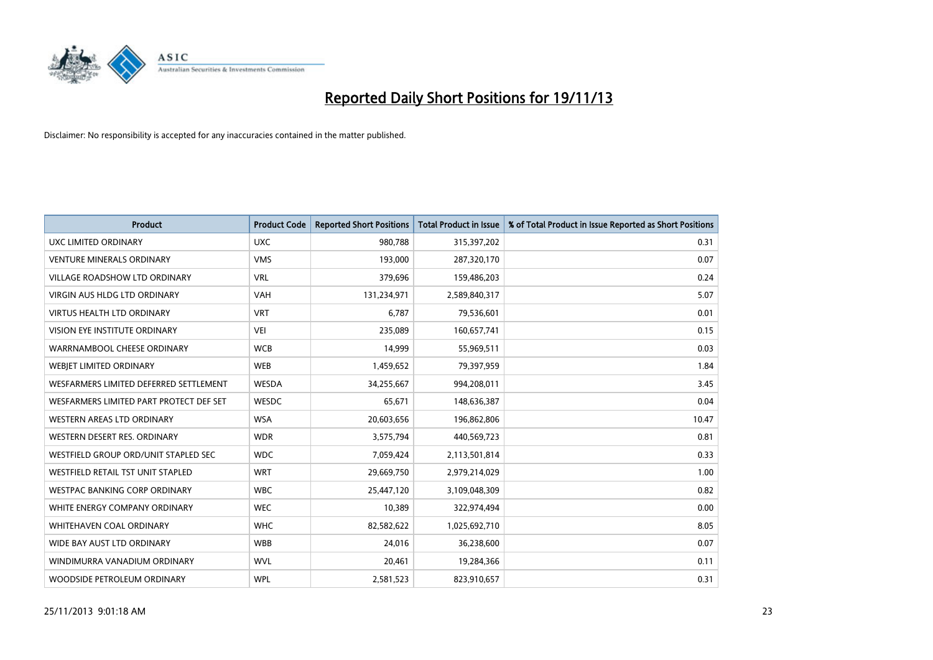

| <b>Product</b>                          | <b>Product Code</b> | <b>Reported Short Positions</b> | <b>Total Product in Issue</b> | % of Total Product in Issue Reported as Short Positions |
|-----------------------------------------|---------------------|---------------------------------|-------------------------------|---------------------------------------------------------|
| <b>UXC LIMITED ORDINARY</b>             | <b>UXC</b>          | 980,788                         | 315,397,202                   | 0.31                                                    |
| <b>VENTURE MINERALS ORDINARY</b>        | <b>VMS</b>          | 193,000                         | 287,320,170                   | 0.07                                                    |
| <b>VILLAGE ROADSHOW LTD ORDINARY</b>    | <b>VRL</b>          | 379,696                         | 159,486,203                   | 0.24                                                    |
| VIRGIN AUS HLDG LTD ORDINARY            | <b>VAH</b>          | 131,234,971                     | 2,589,840,317                 | 5.07                                                    |
| <b>VIRTUS HEALTH LTD ORDINARY</b>       | <b>VRT</b>          | 6,787                           | 79,536,601                    | 0.01                                                    |
| <b>VISION EYE INSTITUTE ORDINARY</b>    | <b>VEI</b>          | 235,089                         | 160,657,741                   | 0.15                                                    |
| WARRNAMBOOL CHEESE ORDINARY             | <b>WCB</b>          | 14,999                          | 55,969,511                    | 0.03                                                    |
| WEBJET LIMITED ORDINARY                 | <b>WEB</b>          | 1,459,652                       | 79,397,959                    | 1.84                                                    |
| WESFARMERS LIMITED DEFERRED SETTLEMENT  | WESDA               | 34,255,667                      | 994,208,011                   | 3.45                                                    |
| WESFARMERS LIMITED PART PROTECT DEF SET | WESDC               | 65,671                          | 148,636,387                   | 0.04                                                    |
| WESTERN AREAS LTD ORDINARY              | <b>WSA</b>          | 20,603,656                      | 196,862,806                   | 10.47                                                   |
| WESTERN DESERT RES. ORDINARY            | <b>WDR</b>          | 3,575,794                       | 440,569,723                   | 0.81                                                    |
| WESTFIELD GROUP ORD/UNIT STAPLED SEC    | <b>WDC</b>          | 7,059,424                       | 2,113,501,814                 | 0.33                                                    |
| WESTFIELD RETAIL TST UNIT STAPLED       | <b>WRT</b>          | 29,669,750                      | 2,979,214,029                 | 1.00                                                    |
| <b>WESTPAC BANKING CORP ORDINARY</b>    | <b>WBC</b>          | 25,447,120                      | 3,109,048,309                 | 0.82                                                    |
| WHITE ENERGY COMPANY ORDINARY           | <b>WEC</b>          | 10,389                          | 322,974,494                   | 0.00                                                    |
| <b>WHITEHAVEN COAL ORDINARY</b>         | <b>WHC</b>          | 82,582,622                      | 1,025,692,710                 | 8.05                                                    |
| WIDE BAY AUST LTD ORDINARY              | <b>WBB</b>          | 24,016                          | 36,238,600                    | 0.07                                                    |
| WINDIMURRA VANADIUM ORDINARY            | <b>WVL</b>          | 20,461                          | 19,284,366                    | 0.11                                                    |
| WOODSIDE PETROLEUM ORDINARY             | <b>WPL</b>          | 2,581,523                       | 823,910,657                   | 0.31                                                    |